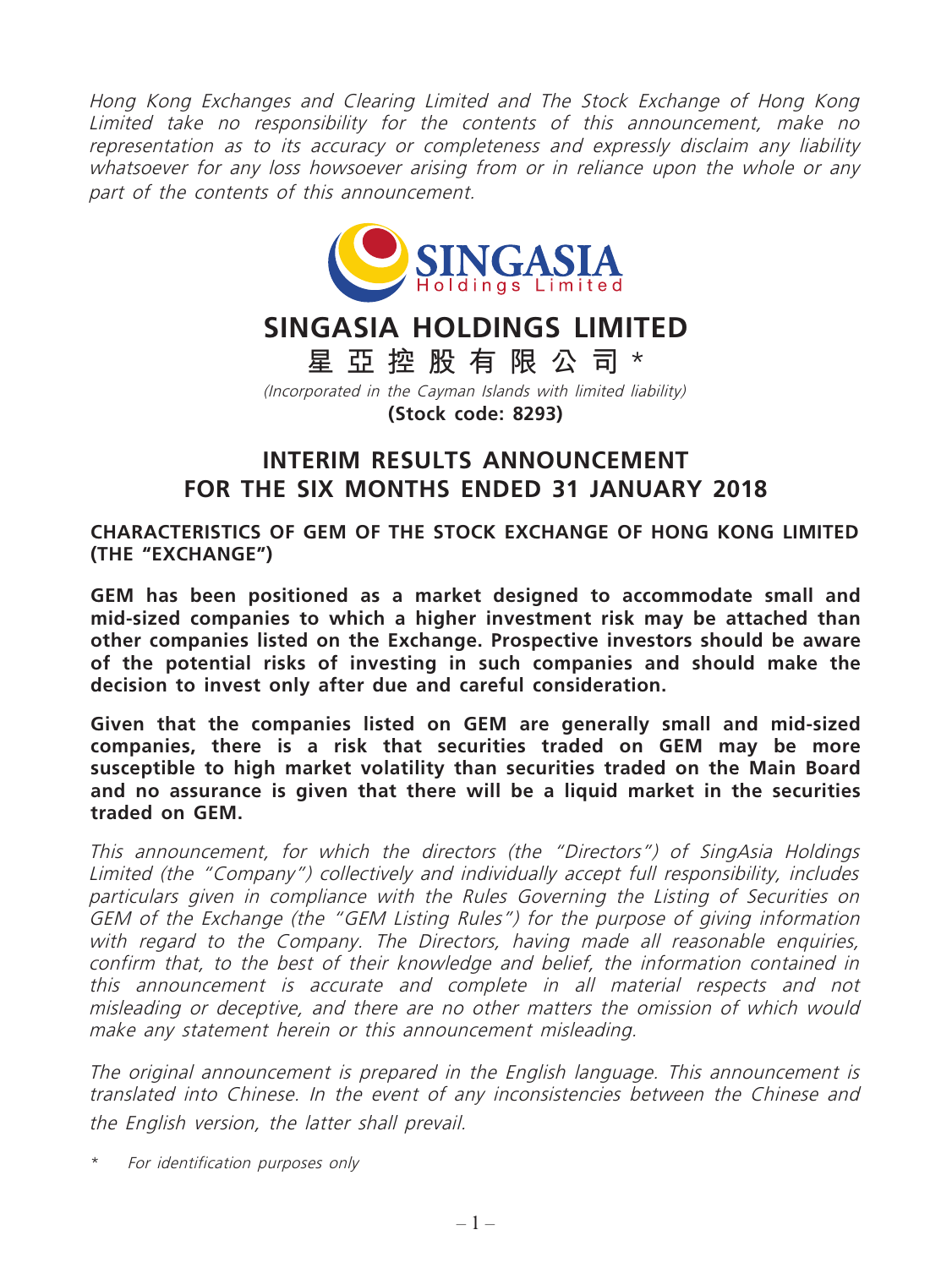Hong Kong Exchanges and Clearing Limited and The Stock Exchange of Hong Kong Limited take no responsibility for the contents of this announcement, make no representation as to its accuracy or completeness and expressly disclaim any liability whatsoever for any loss howsoever arising from or in reliance upon the whole or any part of the contents of this announcement.



# **SINGASIA HOLDINGS LIMITED**

**星亞控股有限公司** \*

(Incorporated in the Cayman Islands with limited liability) **(Stock code: 8293)**

## **INTERIM RESULTS ANNOUNCEMENT FOR THE SIX MONTHS ENDED 31 JANUARY 2018**

**CHARACTERISTICS OF GEM OF THE STOCK EXCHANGE OF HONG KONG LIMITED (THE "EXCHANGE")**

**GEM has been positioned as a market designed to accommodate small and mid-sized companies to which a higher investment risk may be attached than other companies listed on the Exchange. Prospective investors should be aware of the potential risks of investing in such companies and should make the decision to invest only after due and careful consideration.**

**Given that the companies listed on GEM are generally small and mid-sized companies, there is a risk that securities traded on GEM may be more susceptible to high market volatility than securities traded on the Main Board and no assurance is given that there will be a liquid market in the securities traded on GEM.**

This announcement, for which the directors (the "Directors") of SingAsia Holdings Limited (the "Company") collectively and individually accept full responsibility, includes particulars given in compliance with the Rules Governing the Listing of Securities on GEM of the Exchange (the "GEM Listing Rules") for the purpose of giving information with regard to the Company. The Directors, having made all reasonable enquiries, confirm that, to the best of their knowledge and belief, the information contained in this announcement is accurate and complete in all material respects and not misleading or deceptive, and there are no other matters the omission of which would make any statement herein or this announcement misleading.

The original announcement is prepared in the English language. This announcement is translated into Chinese. In the event of any inconsistencies between the Chinese and the English version, the latter shall prevail.

\* For identification purposes only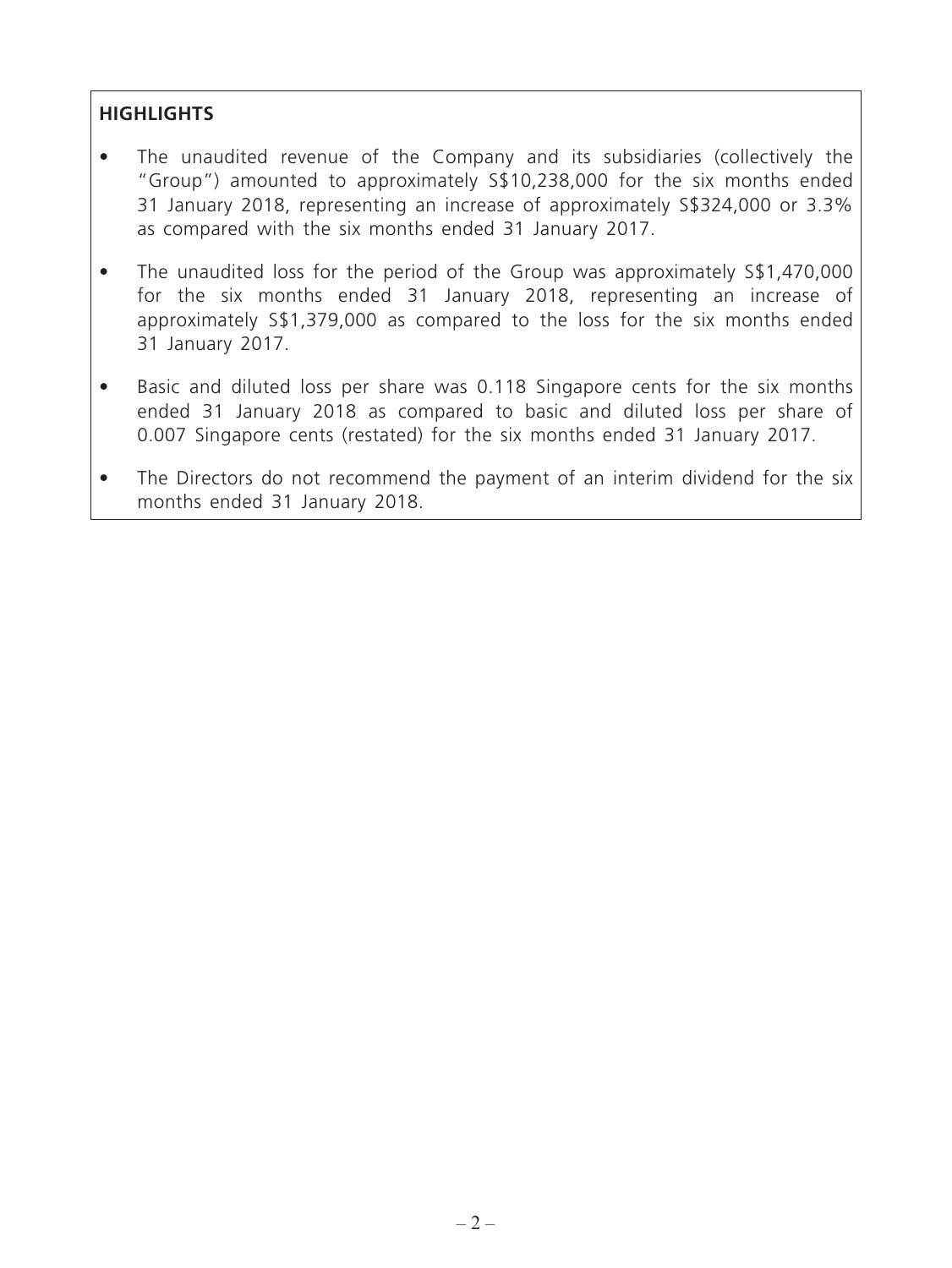## **HIGHLIGHTS**

- The unaudited revenue of the Company and its subsidiaries (collectively the "Group") amounted to approximately S\$10,238,000 for the six months ended 31 January 2018, representing an increase of approximately S\$324,000 or 3.3% as compared with the six months ended 31 January 2017.
- The unaudited loss for the period of the Group was approximately S\$1,470,000 for the six months ended 31 January 2018, representing an increase of approximately S\$1,379,000 as compared to the loss for the six months ended 31 January 2017.
- Basic and diluted loss per share was 0.118 Singapore cents for the six months ended 31 January 2018 as compared to basic and diluted loss per share of 0.007 Singapore cents (restated) for the six months ended 31 January 2017.
- The Directors do not recommend the payment of an interim dividend for the six months ended 31 January 2018.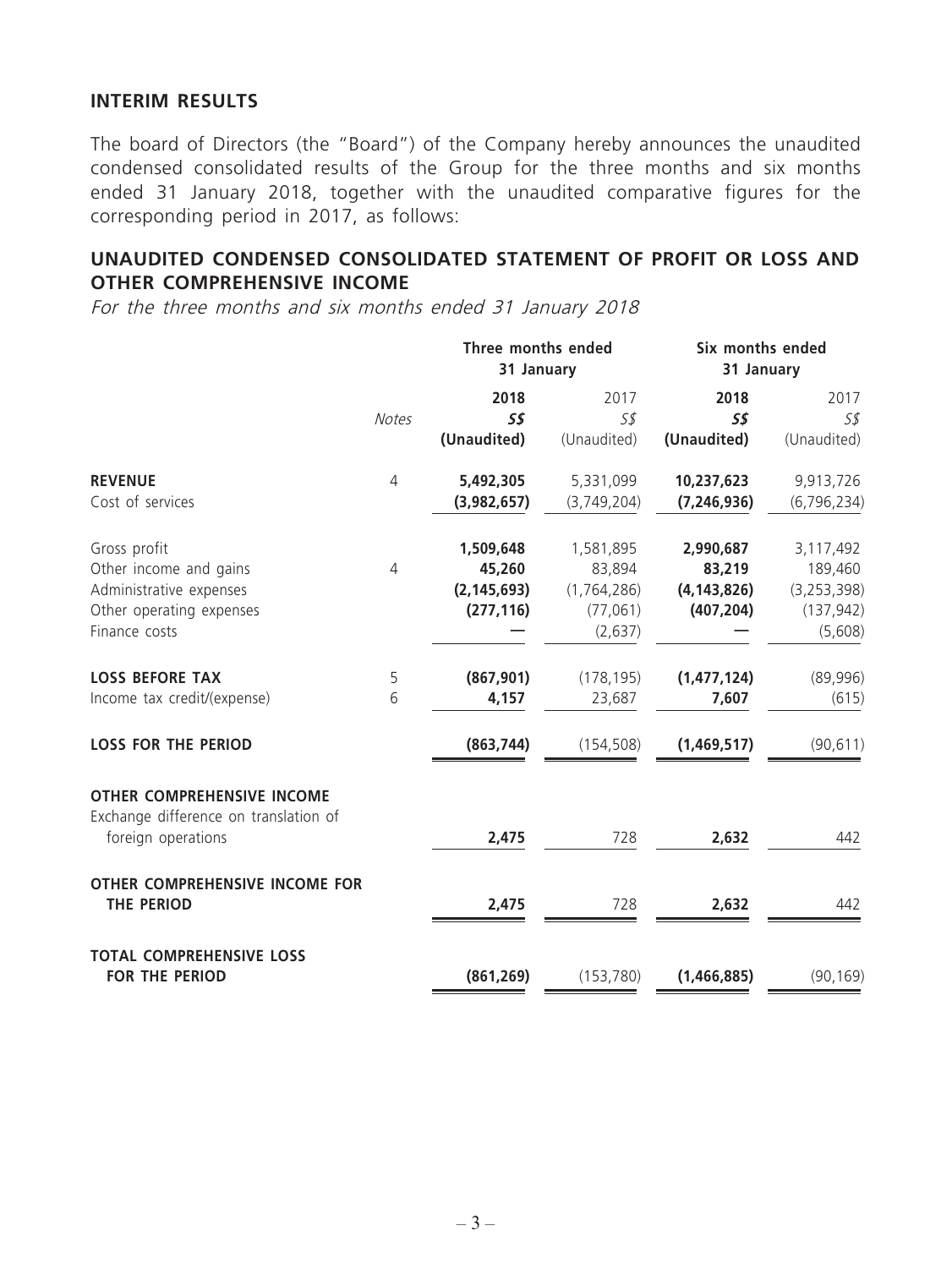#### **INTERIM RESULTS**

The board of Directors (the "Board") of the Company hereby announces the unaudited condensed consolidated results of the Group for the three months and six months ended 31 January 2018, together with the unaudited comparative figures for the corresponding period in 2017, as follows:

#### **UNAUDITED CONDENSED CONSOLIDATED STATEMENT OF PROFIT OR LOSS AND OTHER COMPREHENSIVE INCOME**

For the three months and six months ended 31 January 2018

|                                                                                                  |                | Three months ended<br>31 January |             | Six months ended<br>31 January |               |  |
|--------------------------------------------------------------------------------------------------|----------------|----------------------------------|-------------|--------------------------------|---------------|--|
|                                                                                                  |                | 2018                             | 2017        | 2018                           | 2017          |  |
|                                                                                                  | <b>Notes</b>   | 5\$                              | S\$         | 55                             | 55            |  |
|                                                                                                  |                | (Unaudited)                      | (Unaudited) | (Unaudited)                    | (Unaudited)   |  |
| <b>REVENUE</b>                                                                                   | $\overline{4}$ | 5,492,305                        | 5,331,099   | 10,237,623                     | 9,913,726     |  |
| Cost of services                                                                                 |                | (3,982,657)                      | (3,749,204) | (7, 246, 936)                  | (6, 796, 234) |  |
| Gross profit                                                                                     |                | 1,509,648                        | 1,581,895   | 2,990,687                      | 3,117,492     |  |
| Other income and gains                                                                           | $\overline{4}$ | 45,260                           | 83,894      | 83,219                         | 189,460       |  |
| Administrative expenses                                                                          |                | (2, 145, 693)                    | (1,764,286) | (4, 143, 826)                  | (3, 253, 398) |  |
| Other operating expenses                                                                         |                | (277, 116)                       | (77,061)    | (407, 204)                     | (137, 942)    |  |
| Finance costs                                                                                    |                |                                  | (2,637)     |                                | (5,608)       |  |
| <b>LOSS BEFORE TAX</b>                                                                           | 5              | (867, 901)                       | (178, 195)  | (1,477,124)                    | (89,996)      |  |
| Income tax credit/(expense)                                                                      | 6              | 4,157                            | 23,687      | 7,607                          | (615)         |  |
| <b>LOSS FOR THE PERIOD</b>                                                                       |                | (863, 744)                       | (154, 508)  | (1,469,517)                    | (90, 611)     |  |
| <b>OTHER COMPREHENSIVE INCOME</b><br>Exchange difference on translation of<br>foreign operations |                | 2,475                            | 728         | 2,632                          | 442           |  |
| OTHER COMPREHENSIVE INCOME FOR<br><b>THE PERIOD</b>                                              |                | 2,475                            | 728         | 2,632                          | 442           |  |
| <b>TOTAL COMPREHENSIVE LOSS</b><br><b>FOR THE PERIOD</b>                                         |                | (861, 269)                       | (153, 780)  | (1,466,885)                    | (90, 169)     |  |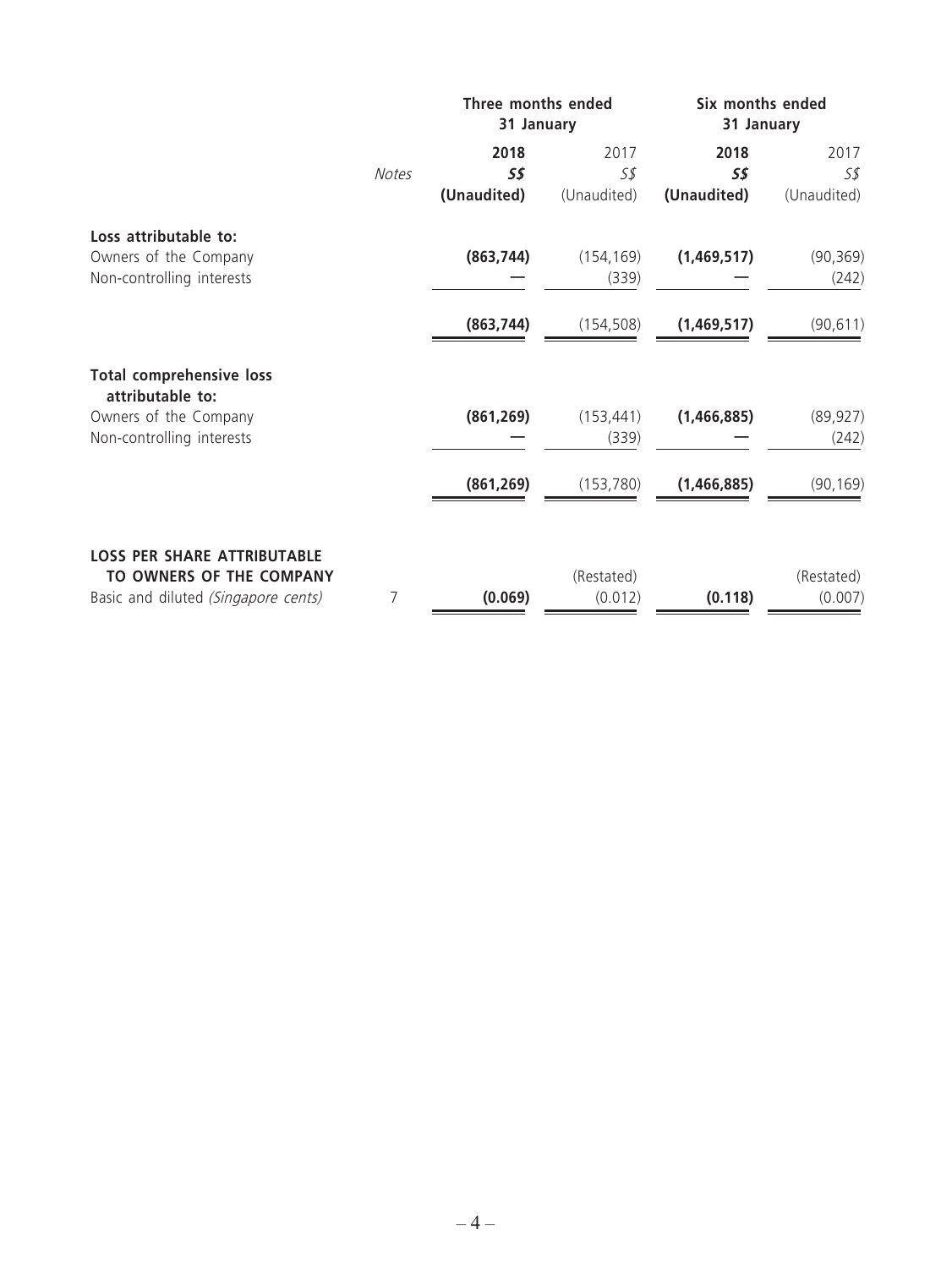|                                                     |              | Three months ended<br>31 January |             | Six months ended<br>31 January |             |
|-----------------------------------------------------|--------------|----------------------------------|-------------|--------------------------------|-------------|
|                                                     | <b>Notes</b> | 2018<br>55                       | 2017<br>5\$ | 2018<br>5\$                    | 2017<br>5\$ |
|                                                     |              | (Unaudited)                      | (Unaudited) | (Unaudited)                    | (Unaudited) |
| Loss attributable to:                               |              |                                  |             |                                |             |
| Owners of the Company                               |              | (863, 744)                       | (154, 169)  | (1,469,517)                    | (90, 369)   |
| Non-controlling interests                           |              |                                  | (339)       |                                | (242)       |
|                                                     |              | (863, 744)                       | (154, 508)  | (1,469,517)                    | (90, 611)   |
| <b>Total comprehensive loss</b><br>attributable to: |              |                                  |             |                                |             |
| Owners of the Company                               |              | (861, 269)                       | (153, 441)  | (1,466,885)                    | (89, 927)   |
| Non-controlling interests                           |              |                                  | (339)       |                                | (242)       |
|                                                     |              | (861, 269)                       | (153, 780)  | (1,466,885)                    | (90, 169)   |
| <b>LOSS PER SHARE ATTRIBUTABLE</b>                  |              |                                  |             |                                |             |
| TO OWNERS OF THE COMPANY                            |              |                                  | (Restated)  |                                | (Restated)  |
| Basic and diluted (Singapore cents)                 | 7            | (0.069)                          | (0.012)     | (0.118)                        | (0.007)     |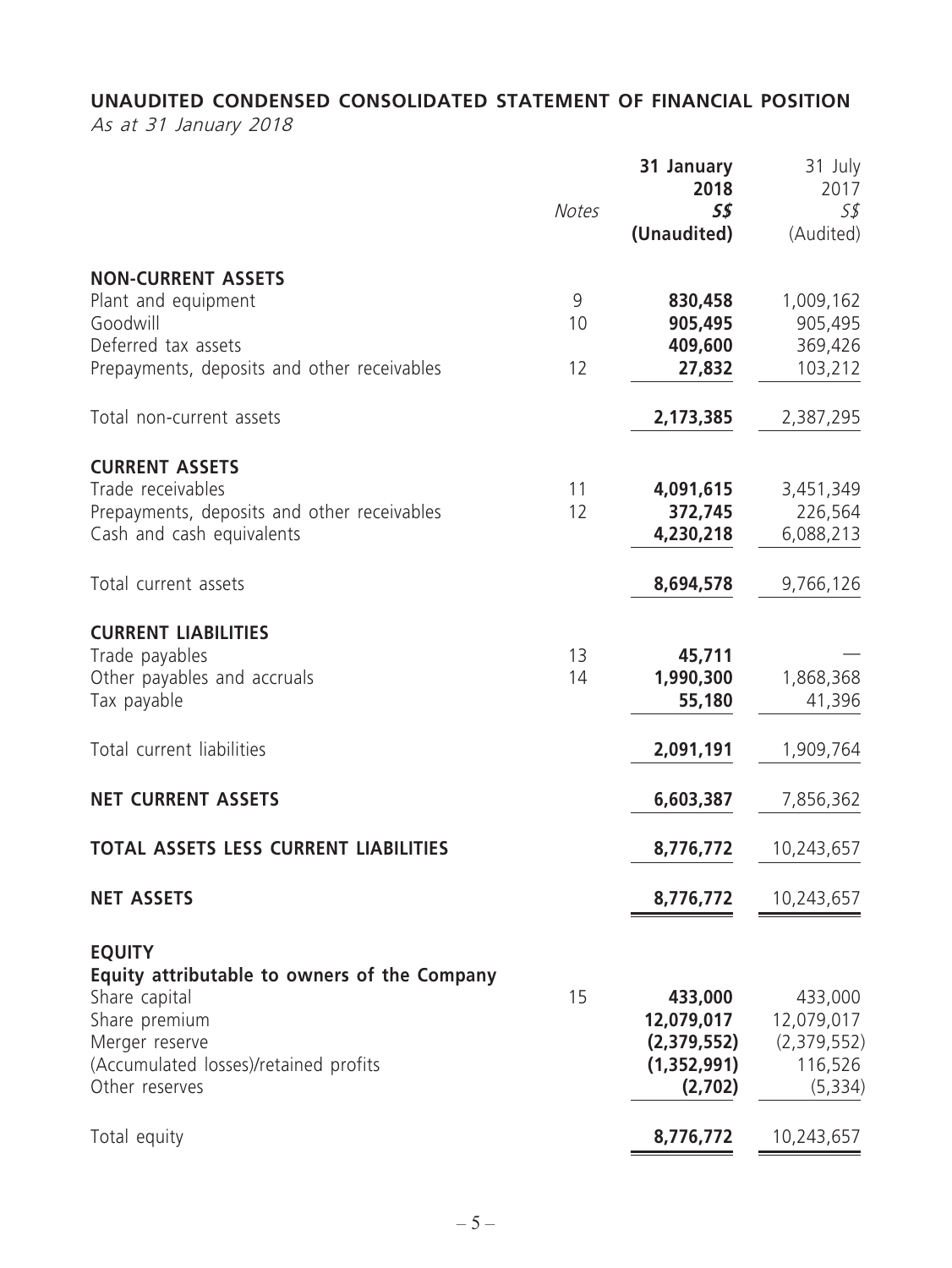## **UNAUDITED CONDENSED CONSOLIDATED STATEMENT OF FINANCIAL POSITION**

As at 31 January 2018

|                                                                                                                                                                              | <b>Notes</b>  | 31 January<br>2018<br>$S\mathcal{S}$<br>(Unaudited)            | 31 July<br>2017<br>S\$<br>(Audited)                         |
|------------------------------------------------------------------------------------------------------------------------------------------------------------------------------|---------------|----------------------------------------------------------------|-------------------------------------------------------------|
| <b>NON-CURRENT ASSETS</b><br>Plant and equipment<br>Goodwill<br>Deferred tax assets<br>Prepayments, deposits and other receivables                                           | 9<br>10<br>12 | 830,458<br>905,495<br>409,600<br>27,832                        | 1,009,162<br>905,495<br>369,426<br>103,212                  |
| Total non-current assets                                                                                                                                                     |               | 2,173,385                                                      | 2,387,295                                                   |
| <b>CURRENT ASSETS</b><br>Trade receivables<br>Prepayments, deposits and other receivables<br>Cash and cash equivalents                                                       | 11<br>12      | 4,091,615<br>372,745<br>4,230,218                              | 3,451,349<br>226,564<br>6,088,213                           |
| Total current assets                                                                                                                                                         |               | 8,694,578                                                      | 9,766,126                                                   |
| <b>CURRENT LIABILITIES</b><br>Trade payables<br>Other payables and accruals<br>Tax payable                                                                                   | 13<br>14      | 45,711<br>1,990,300<br>55,180                                  | 1,868,368<br>41,396                                         |
| Total current liabilities                                                                                                                                                    |               | 2,091,191                                                      | 1,909,764                                                   |
| <b>NET CURRENT ASSETS</b>                                                                                                                                                    |               | 6,603,387                                                      | 7,856,362                                                   |
| <b>TOTAL ASSETS LESS CURRENT LIABILITIES</b>                                                                                                                                 |               | 8,776,772                                                      | 10,243,657                                                  |
| <b>NET ASSETS</b>                                                                                                                                                            |               | 8,776,772                                                      | 10,243,657                                                  |
| <b>EQUITY</b><br>Equity attributable to owners of the Company<br>Share capital<br>Share premium<br>Merger reserve<br>(Accumulated losses)/retained profits<br>Other reserves | 15            | 433,000<br>12,079,017<br>(2,379,552)<br>(1,352,991)<br>(2,702) | 433,000<br>12,079,017<br>(2,379,552)<br>116,526<br>(5, 334) |
| Total equity                                                                                                                                                                 |               | 8,776,772                                                      | 10,243,657                                                  |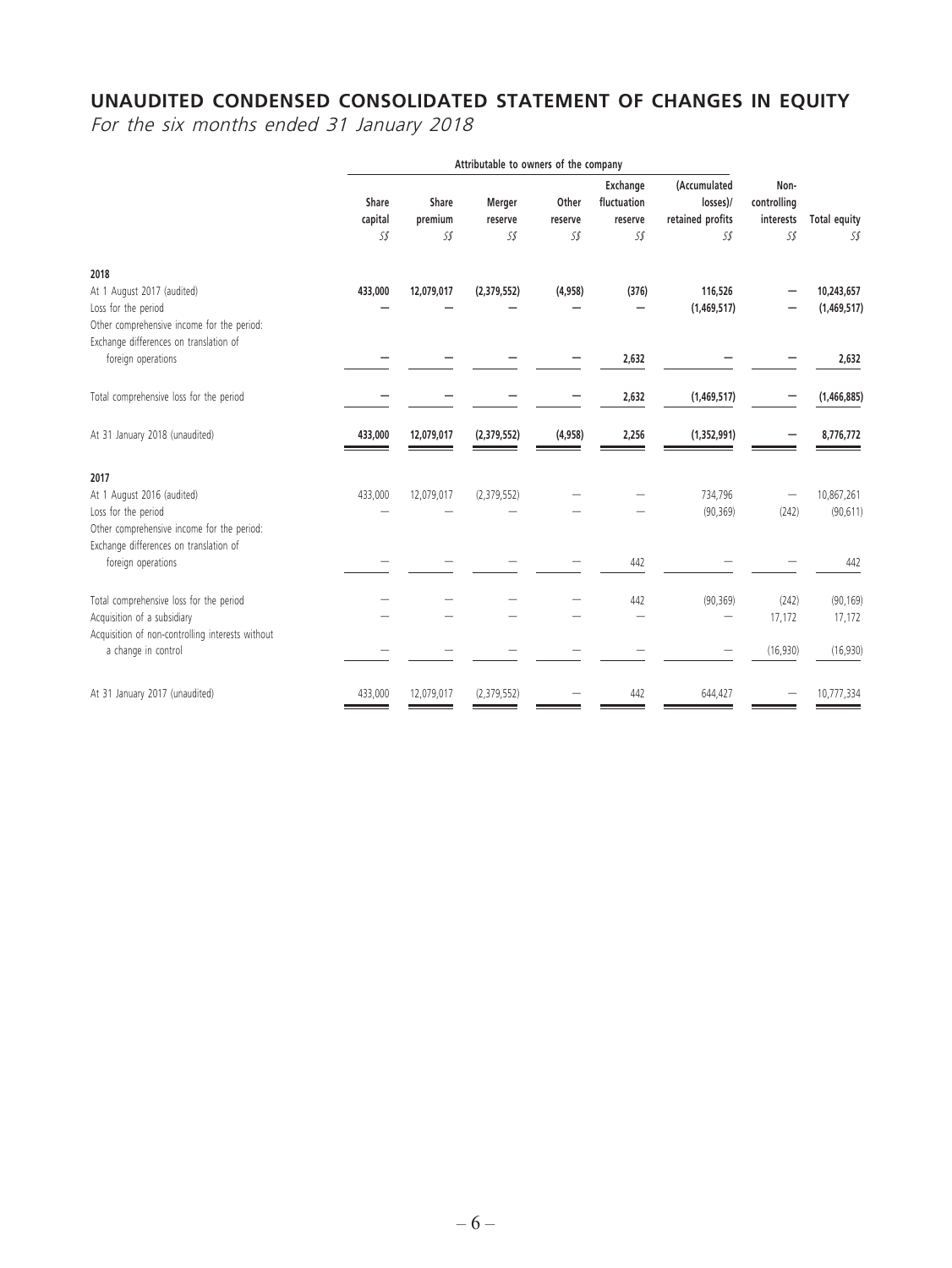#### **UNAUDITED CONDENSED CONSOLIDATED STATEMENT OF CHANGES IN EQUITY**

For the six months ended 31 January 2018

|                                                                                                                                           |                         | Attributable to owners of the company |                          |                         |                                           |                                                     |                                         |                            |
|-------------------------------------------------------------------------------------------------------------------------------------------|-------------------------|---------------------------------------|--------------------------|-------------------------|-------------------------------------------|-----------------------------------------------------|-----------------------------------------|----------------------------|
|                                                                                                                                           | Share<br>capital<br>S\$ | Share<br>premium<br>S\$               | Merger<br>reserve<br>S\$ | Other<br>reserve<br>S\$ | Exchange<br>fluctuation<br>reserve<br>S\$ | (Accumulated<br>losses)/<br>retained profits<br>S\$ | Non-<br>controlling<br>interests<br>S\$ | <b>Total equity</b><br>S\$ |
| 2018                                                                                                                                      |                         |                                       |                          |                         |                                           |                                                     |                                         |                            |
| At 1 August 2017 (audited)<br>Loss for the period<br>Other comprehensive income for the period:<br>Exchange differences on translation of | 433,000                 | 12,079,017                            | (2,379,552)              | (4,958)                 | (376)                                     | 116,526<br>(1,469,517)                              |                                         | 10,243,657<br>(1,469,517)  |
| foreign operations                                                                                                                        |                         |                                       |                          |                         | 2,632                                     |                                                     |                                         | 2,632                      |
| Total comprehensive loss for the period                                                                                                   |                         |                                       |                          |                         | 2,632                                     | (1,469,517)                                         |                                         | (1,466,885)                |
| At 31 January 2018 (unaudited)                                                                                                            | 433,000                 | 12,079,017                            | (2,379,552)              | (4, 958)                | 2,256                                     | (1, 352, 991)                                       |                                         | 8,776,772                  |
| 2017                                                                                                                                      |                         |                                       |                          |                         |                                           |                                                     |                                         |                            |
| At 1 August 2016 (audited)<br>Loss for the period<br>Other comprehensive income for the period:<br>Exchange differences on translation of | 433,000                 | 12,079,017                            | (2,379,552)              |                         |                                           | 734,796<br>(90, 369)                                | (242)                                   | 10,867,261<br>(90, 611)    |
| foreign operations                                                                                                                        |                         |                                       |                          |                         | 442                                       |                                                     |                                         | 442                        |
| Total comprehensive loss for the period<br>Acquisition of a subsidiary<br>Acquisition of non-controlling interests without                |                         |                                       |                          |                         | 442                                       | (90, 369)                                           | (242)<br>17,172                         | (90, 169)<br>17,172        |
| a change in control                                                                                                                       |                         |                                       |                          |                         |                                           |                                                     | (16,930)                                | (16,930)                   |
| At 31 January 2017 (unaudited)                                                                                                            | 433,000                 | 12,079,017                            | (2,379,552)              |                         | 442                                       | 644,427                                             |                                         | 10,777,334                 |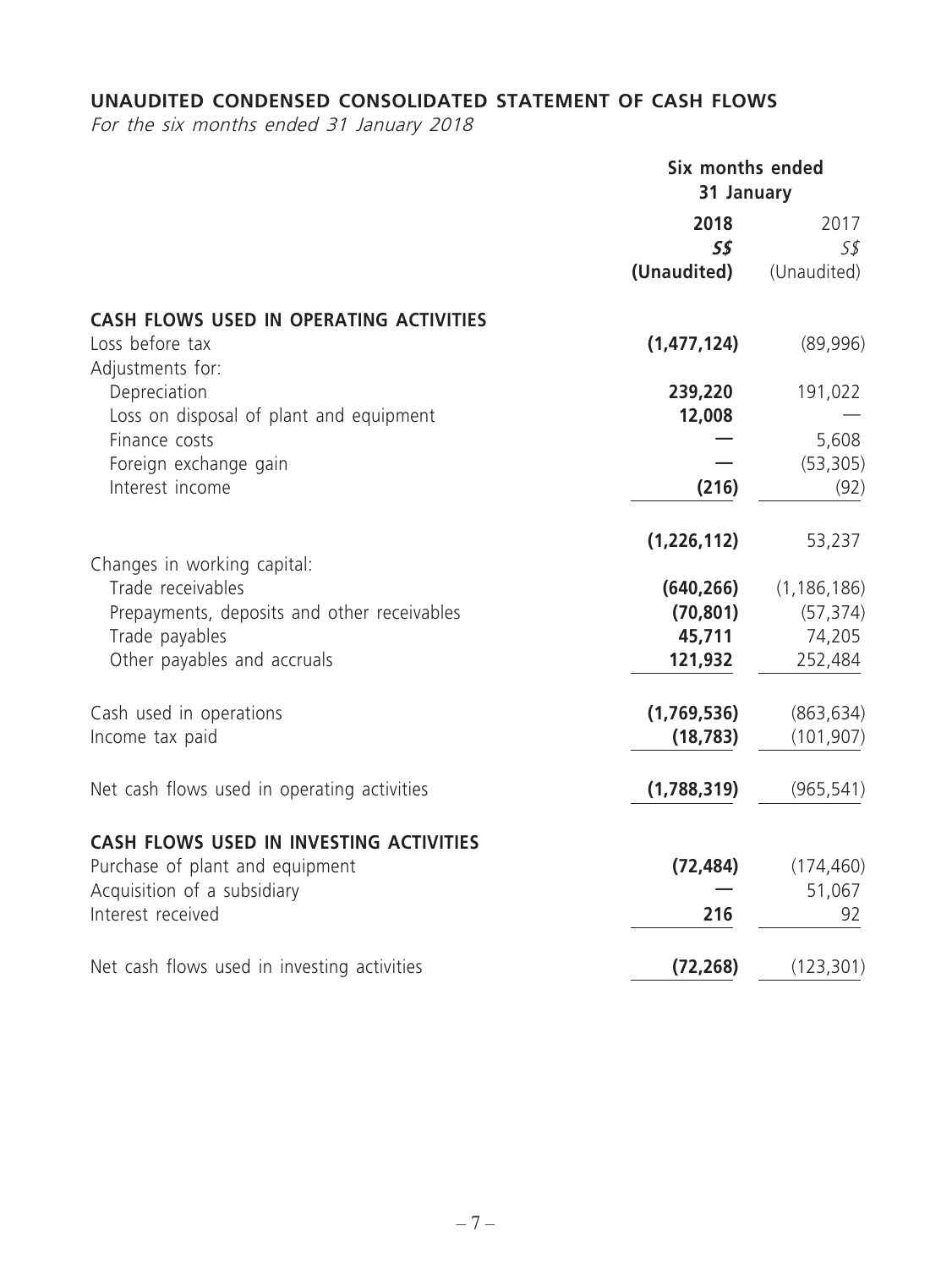## **UNAUDITED CONDENSED CONSOLIDATED STATEMENT OF CASH FLOWS**

For the six months ended 31 January 2018

|                                                  | Six months ended<br>31 January |               |  |
|--------------------------------------------------|--------------------------------|---------------|--|
|                                                  | 2018                           | 2017          |  |
|                                                  | $S\mathcal{S}$                 | 5\$           |  |
|                                                  | (Unaudited)                    | (Unaudited)   |  |
| CASH FLOWS USED IN OPERATING ACTIVITIES          |                                |               |  |
| Loss before tax<br>Adjustments for:              | (1, 477, 124)                  | (89,996)      |  |
| Depreciation                                     | 239,220                        | 191,022       |  |
| Loss on disposal of plant and equipment          | 12,008                         |               |  |
| Finance costs                                    |                                | 5,608         |  |
| Foreign exchange gain                            |                                | (53, 305)     |  |
| Interest income                                  | (216)                          | (92)          |  |
|                                                  | (1,226,112)                    | 53,237        |  |
| Changes in working capital:<br>Trade receivables | (640, 266)                     | (1, 186, 186) |  |
| Prepayments, deposits and other receivables      | (70, 801)                      | (57, 374)     |  |
| Trade payables                                   | 45,711                         | 74,205        |  |
| Other payables and accruals                      | 121,932                        | 252,484       |  |
| Cash used in operations                          | (1,769,536)                    | (863, 634)    |  |
| Income tax paid                                  | (18, 783)                      | (101, 907)    |  |
| Net cash flows used in operating activities      | (1,788,319)                    | (965, 541)    |  |
| CASH FLOWS USED IN INVESTING ACTIVITIES          |                                |               |  |
| Purchase of plant and equipment                  | (72, 484)                      | (174, 460)    |  |
| Acquisition of a subsidiary                      |                                | 51,067        |  |
| Interest received                                | 216                            | 92            |  |
| Net cash flows used in investing activities      | (72, 268)                      | (123, 301)    |  |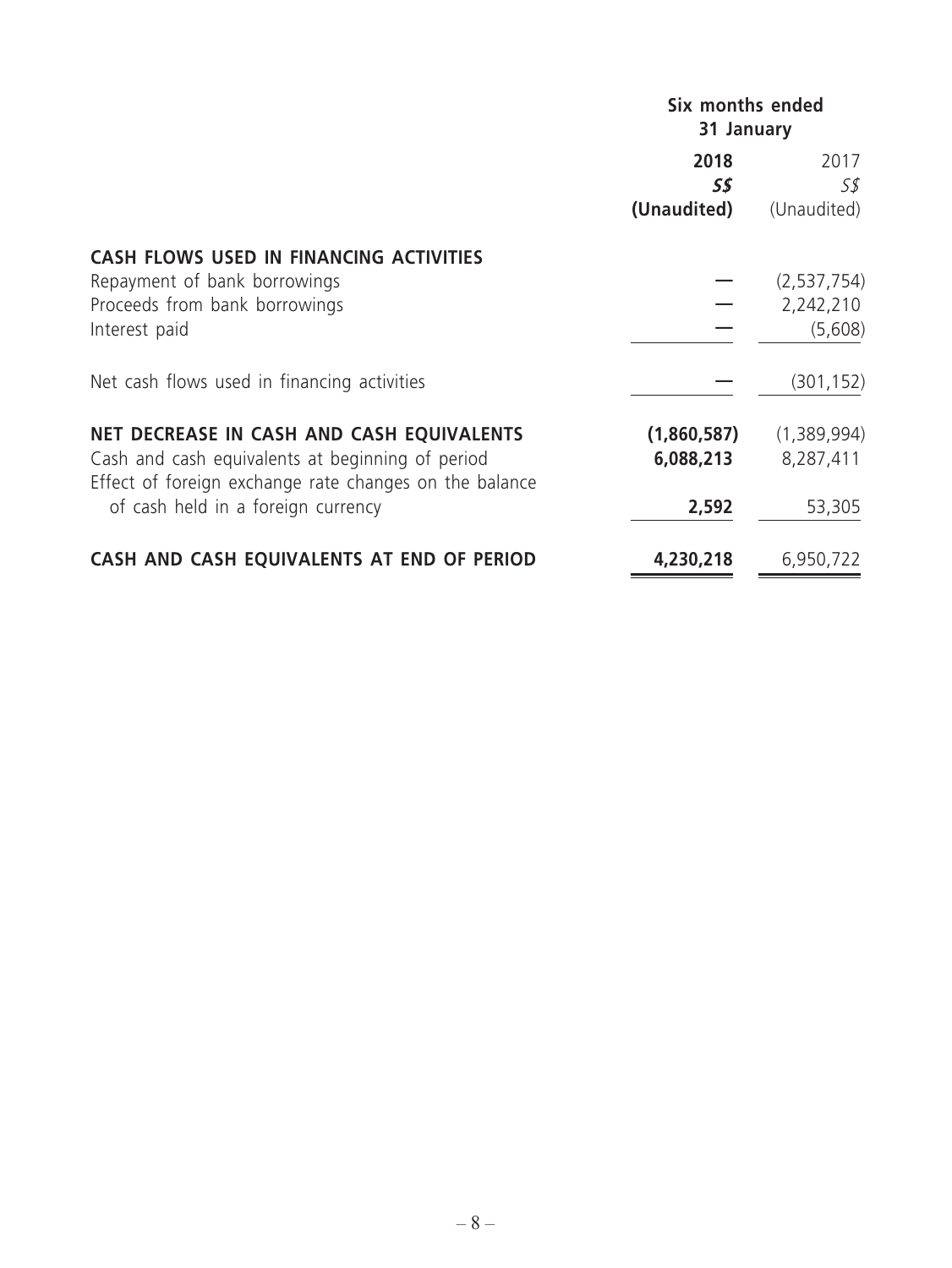|                                                                                                            | Six months ended<br>31 January |             |  |
|------------------------------------------------------------------------------------------------------------|--------------------------------|-------------|--|
|                                                                                                            | 2018<br>55                     | 2017<br>5\$ |  |
|                                                                                                            | (Unaudited)                    | (Unaudited) |  |
| <b>CASH FLOWS USED IN FINANCING ACTIVITIES</b>                                                             |                                |             |  |
| Repayment of bank borrowings                                                                               |                                | (2,537,754) |  |
| Proceeds from bank borrowings                                                                              |                                | 2,242,210   |  |
| Interest paid                                                                                              |                                | (5,608)     |  |
| Net cash flows used in financing activities                                                                |                                | (301, 152)  |  |
| NET DECREASE IN CASH AND CASH EQUIVALENTS                                                                  | (1,860,587)                    | (1,389,994) |  |
| Cash and cash equivalents at beginning of period<br>Effect of foreign exchange rate changes on the balance | 6,088,213                      | 8,287,411   |  |
| of cash held in a foreign currency                                                                         | 2,592                          | 53,305      |  |
| CASH AND CASH EQUIVALENTS AT END OF PERIOD                                                                 | 4,230,218                      | 6,950,722   |  |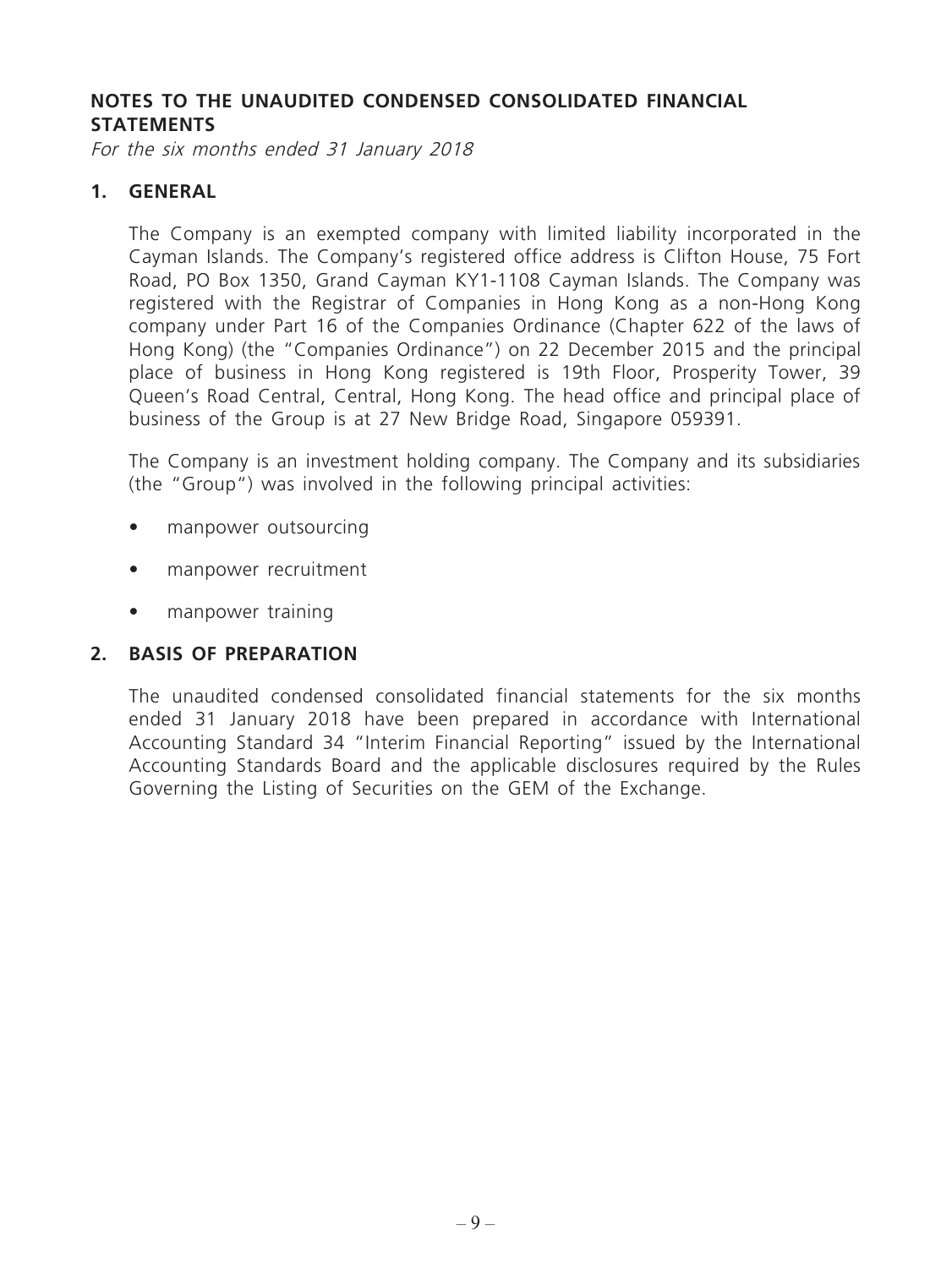#### **NOTES TO THE UNAUDITED CONDENSED CONSOLIDATED FINANCIAL STATEMENTS**

For the six months ended 31 January 2018

#### **1. GENERAL**

The Company is an exempted company with limited liability incorporated in the Cayman Islands. The Company's registered office address is Clifton House, 75 Fort Road, PO Box 1350, Grand Cayman KY1-1108 Cayman Islands. The Company was registered with the Registrar of Companies in Hong Kong as a non-Hong Kong company under Part 16 of the Companies Ordinance (Chapter 622 of the laws of Hong Kong) (the "Companies Ordinance") on 22 December 2015 and the principal place of business in Hong Kong registered is 19th Floor, Prosperity Tower, 39 Queen's Road Central, Central, Hong Kong. The head office and principal place of business of the Group is at 27 New Bridge Road, Singapore 059391.

The Company is an investment holding company. The Company and its subsidiaries (the "Group") was involved in the following principal activities:

- manpower outsourcing
- manpower recruitment
- manpower training

## **2. BASIS OF PREPARATION**

The unaudited condensed consolidated financial statements for the six months ended 31 January 2018 have been prepared in accordance with International Accounting Standard 34 "Interim Financial Reporting" issued by the International Accounting Standards Board and the applicable disclosures required by the Rules Governing the Listing of Securities on the GEM of the Exchange.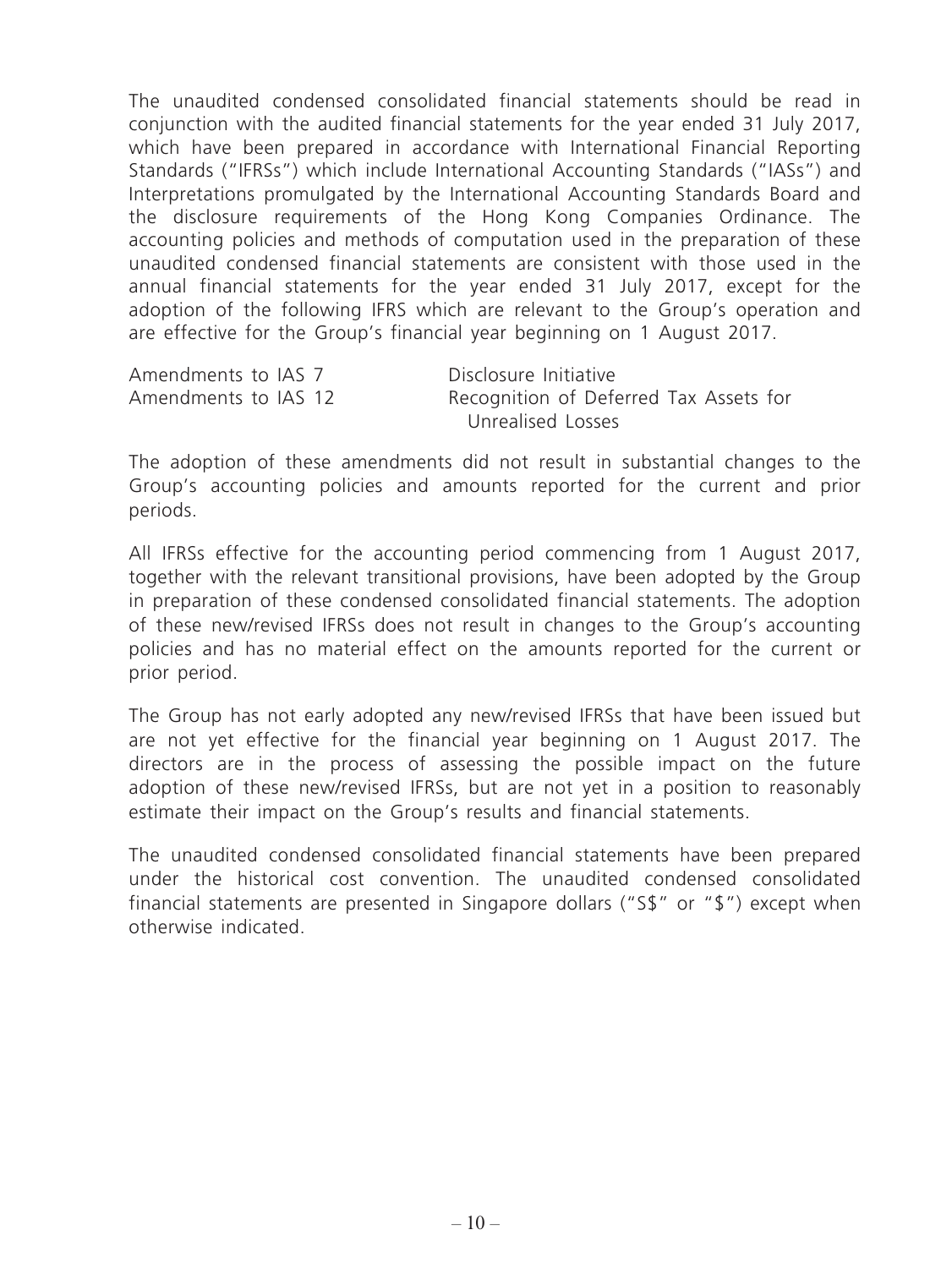The unaudited condensed consolidated financial statements should be read in conjunction with the audited financial statements for the year ended 31 July 2017, which have been prepared in accordance with International Financial Reporting Standards ("IFRSs") which include International Accounting Standards ("IASs") and Interpretations promulgated by the International Accounting Standards Board and the disclosure requirements of the Hong Kong Companies Ordinance. The accounting policies and methods of computation used in the preparation of these unaudited condensed financial statements are consistent with those used in the annual financial statements for the year ended 31 July 2017, except for the adoption of the following IFRS which are relevant to the Group's operation and are effective for the Group's financial year beginning on 1 August 2017.

| Amendments to IAS 7  | Disclosure Initiative                  |
|----------------------|----------------------------------------|
| Amendments to IAS 12 | Recognition of Deferred Tax Assets for |
|                      | Unrealised Losses                      |

The adoption of these amendments did not result in substantial changes to the Group's accounting policies and amounts reported for the current and prior periods.

All IFRSs effective for the accounting period commencing from 1 August 2017, together with the relevant transitional provisions, have been adopted by the Group in preparation of these condensed consolidated financial statements. The adoption of these new/revised IFRSs does not result in changes to the Group's accounting policies and has no material effect on the amounts reported for the current or prior period.

The Group has not early adopted any new/revised IFRSs that have been issued but are not yet effective for the financial year beginning on 1 August 2017. The directors are in the process of assessing the possible impact on the future adoption of these new/revised IFRSs, but are not yet in a position to reasonably estimate their impact on the Group's results and financial statements.

The unaudited condensed consolidated financial statements have been prepared under the historical cost convention. The unaudited condensed consolidated financial statements are presented in Singapore dollars ("S\$" or "\$") except when otherwise indicated.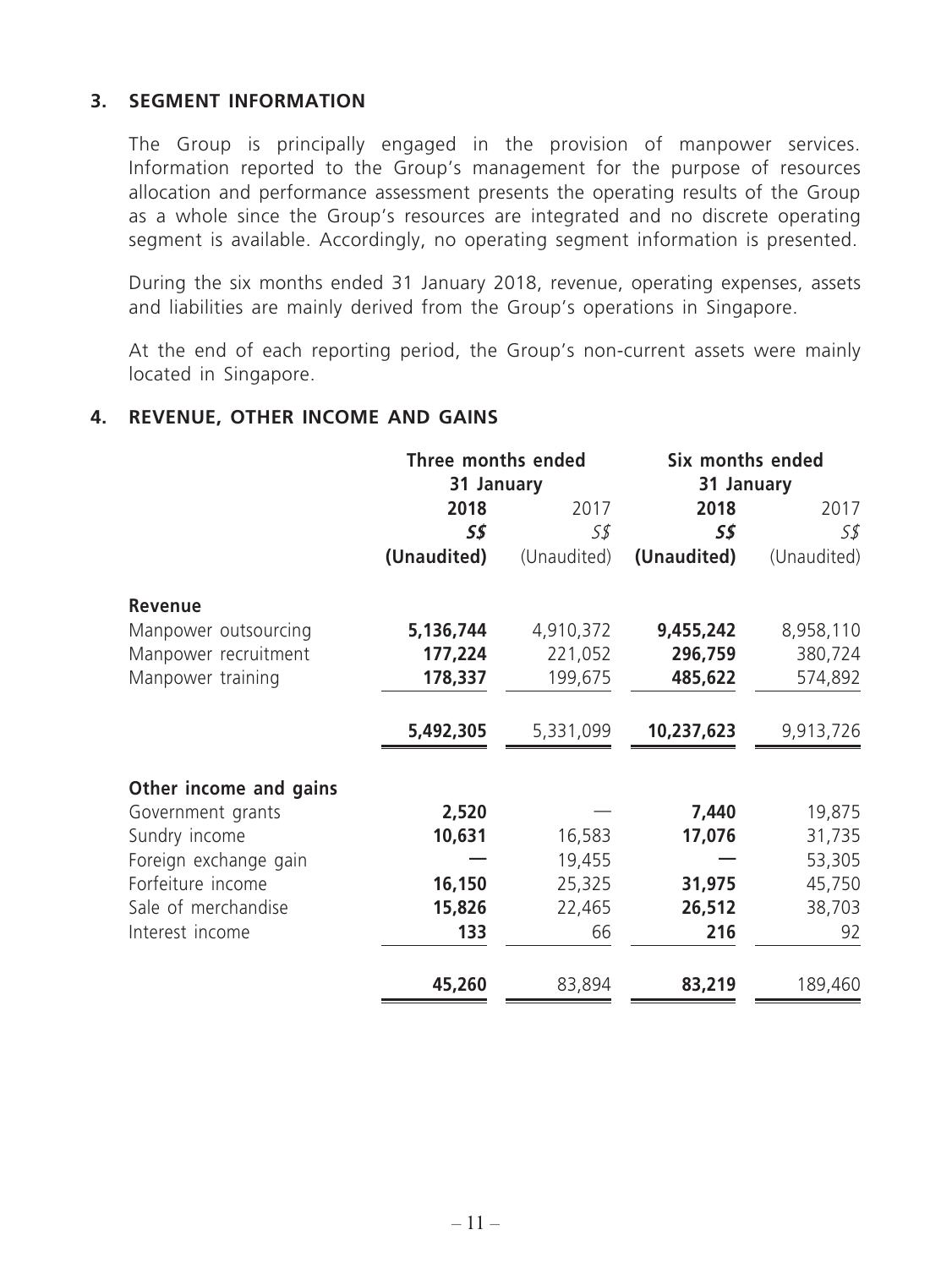#### **3. SEGMENT INFORMATION**

The Group is principally engaged in the provision of manpower services. Information reported to the Group's management for the purpose of resources allocation and performance assessment presents the operating results of the Group as a whole since the Group's resources are integrated and no discrete operating segment is available. Accordingly, no operating segment information is presented.

During the six months ended 31 January 2018, revenue, operating expenses, assets and liabilities are mainly derived from the Group's operations in Singapore.

At the end of each reporting period, the Group's non-current assets were mainly located in Singapore.

#### **4. REVENUE, OTHER INCOME AND GAINS**

|                        | Three months ended<br>31 January |             | Six months ended<br>31 January |             |  |
|------------------------|----------------------------------|-------------|--------------------------------|-------------|--|
|                        | 2018<br>2017                     |             | 2018                           | 2017        |  |
|                        | 5\$                              | S\$         | 5\$                            | S\$         |  |
|                        | (Unaudited)                      | (Unaudited) | (Unaudited)                    | (Unaudited) |  |
| <b>Revenue</b>         |                                  |             |                                |             |  |
| Manpower outsourcing   | 5,136,744                        | 4,910,372   | 9,455,242                      | 8,958,110   |  |
| Manpower recruitment   | 177,224                          | 221,052     | 296,759                        | 380,724     |  |
| Manpower training      | 178,337                          | 199,675     | 485,622                        | 574,892     |  |
|                        | 5,492,305                        | 5,331,099   | 10,237,623                     | 9,913,726   |  |
| Other income and gains |                                  |             |                                |             |  |
| Government grants      | 2,520                            |             | 7,440                          | 19,875      |  |
| Sundry income          | 10,631                           | 16,583      | 17,076                         | 31,735      |  |
| Foreign exchange gain  |                                  | 19,455      |                                | 53,305      |  |
| Forfeiture income      | 16,150                           | 25,325      | 31,975                         | 45,750      |  |
| Sale of merchandise    | 15,826                           | 22,465      | 26,512                         | 38,703      |  |
| Interest income        | 133                              | 66          | 216                            | 92          |  |
|                        | 45,260                           | 83,894      | 83,219                         | 189,460     |  |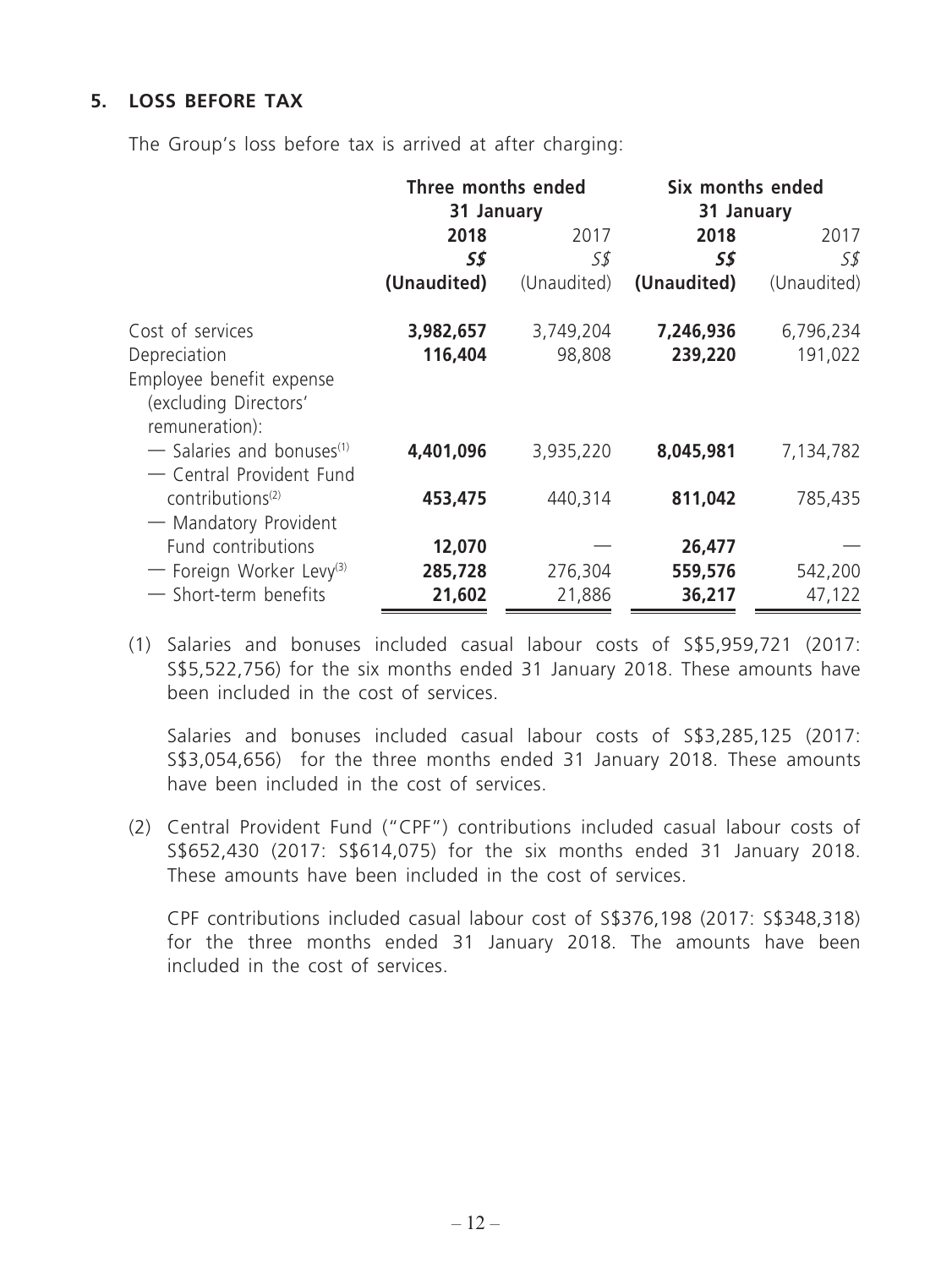## **5. LOSS BEFORE TAX**

The Group's loss before tax is arrived at after charging:

|                                         | Three months ended<br>31 January |             |             | Six months ended<br>31 January |  |  |
|-----------------------------------------|----------------------------------|-------------|-------------|--------------------------------|--|--|
|                                         | 2018                             | 2017        | 2018        | 2017                           |  |  |
|                                         | S\$                              | 5\$         | S\$         | S\$                            |  |  |
|                                         | (Unaudited)                      | (Unaudited) | (Unaudited) | (Unaudited)                    |  |  |
| Cost of services                        | 3,982,657                        | 3,749,204   | 7,246,936   | 6,796,234                      |  |  |
| Depreciation                            | 116,404                          | 98,808      | 239,220     | 191,022                        |  |  |
| Employee benefit expense                |                                  |             |             |                                |  |  |
| (excluding Directors'                   |                                  |             |             |                                |  |  |
| remuneration):                          |                                  |             |             |                                |  |  |
| $-$ Salaries and bonuses <sup>(1)</sup> | 4,401,096                        | 3,935,220   | 8,045,981   | 7,134,782                      |  |  |
| - Central Provident Fund                |                                  |             |             |                                |  |  |
| contributions <sup>(2)</sup>            | 453,475                          | 440,314     | 811,042     | 785,435                        |  |  |
| - Mandatory Provident                   |                                  |             |             |                                |  |  |
| Fund contributions                      | 12,070                           |             | 26,477      |                                |  |  |
| - Foreign Worker Levy <sup>(3)</sup>    | 285,728                          | 276,304     | 559,576     | 542,200                        |  |  |
| - Short-term benefits                   | 21,602                           | 21,886      | 36,217      | 47,122                         |  |  |

(1) Salaries and bonuses included casual labour costs of S\$5,959,721 (2017: S\$5,522,756) for the six months ended 31 January 2018. These amounts have been included in the cost of services.

Salaries and bonuses included casual labour costs of S\$3,285,125 (2017: S\$3,054,656) for the three months ended 31 January 2018. These amounts have been included in the cost of services.

(2) Central Provident Fund ("CPF") contributions included casual labour costs of S\$652,430 (2017: S\$614,075) for the six months ended 31 January 2018. These amounts have been included in the cost of services.

CPF contributions included casual labour cost of S\$376,198 (2017: S\$348,318) for the three months ended 31 January 2018. The amounts have been included in the cost of services.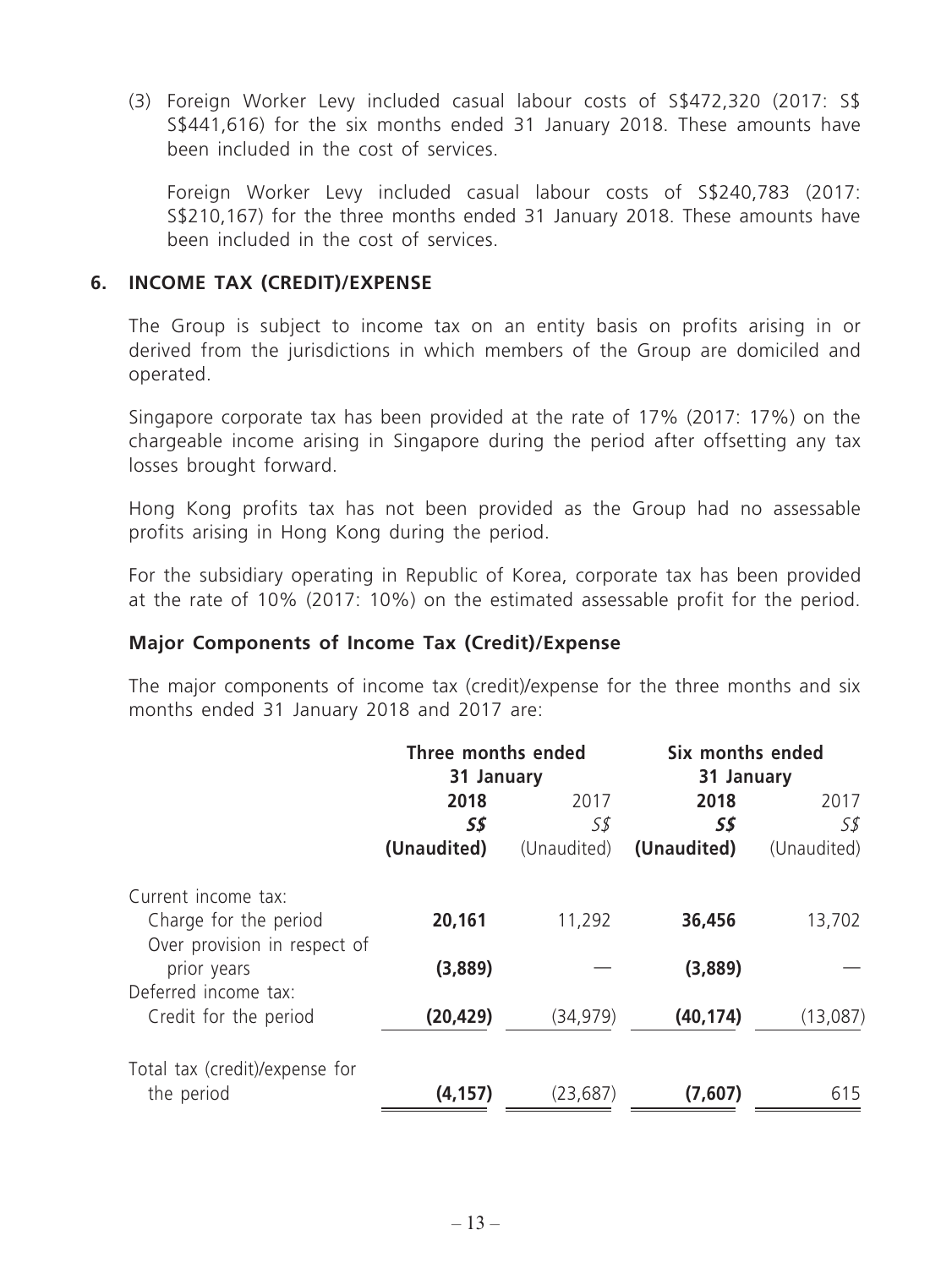(3) Foreign Worker Levy included casual labour costs of S\$472,320 (2017: S\$ S\$441,616) for the six months ended 31 January 2018. These amounts have been included in the cost of services.

Foreign Worker Levy included casual labour costs of S\$240,783 (2017: S\$210,167) for the three months ended 31 January 2018. These amounts have been included in the cost of services.

#### **6. INCOME TAX (CREDIT)/EXPENSE**

The Group is subject to income tax on an entity basis on profits arising in or derived from the jurisdictions in which members of the Group are domiciled and operated.

Singapore corporate tax has been provided at the rate of 17% (2017: 17%) on the chargeable income arising in Singapore during the period after offsetting any tax losses brought forward.

Hong Kong profits tax has not been provided as the Group had no assessable profits arising in Hong Kong during the period.

For the subsidiary operating in Republic of Korea, corporate tax has been provided at the rate of 10% (2017: 10%) on the estimated assessable profit for the period.

#### **Major Components of Income Tax (Credit)/Expense**

The major components of income tax (credit)/expense for the three months and six months ended 31 January 2018 and 2017 are:

|                                | Three months ended |             | Six months ended |             |  |  |
|--------------------------------|--------------------|-------------|------------------|-------------|--|--|
|                                | 31 January         |             |                  | 31 January  |  |  |
|                                | 2018               | 2017        | 2018             | 2017        |  |  |
|                                | 5\$                | S\$         | S\$              | 5\$         |  |  |
|                                | (Unaudited)        | (Unaudited) | (Unaudited)      | (Unaudited) |  |  |
| Current income tax:            |                    |             |                  |             |  |  |
| Charge for the period          | 20,161             | 11,292      | 36,456           | 13,702      |  |  |
| Over provision in respect of   |                    |             |                  |             |  |  |
| prior years                    | (3,889)            |             | (3,889)          |             |  |  |
| Deferred income tax:           |                    |             |                  |             |  |  |
| Credit for the period          | (20, 429)          | (34, 979)   | (40, 174)        | (13,087)    |  |  |
| Total tax (credit)/expense for |                    |             |                  |             |  |  |
| the period                     | (4, 157)           | (23, 687)   | (7,607)          | 615         |  |  |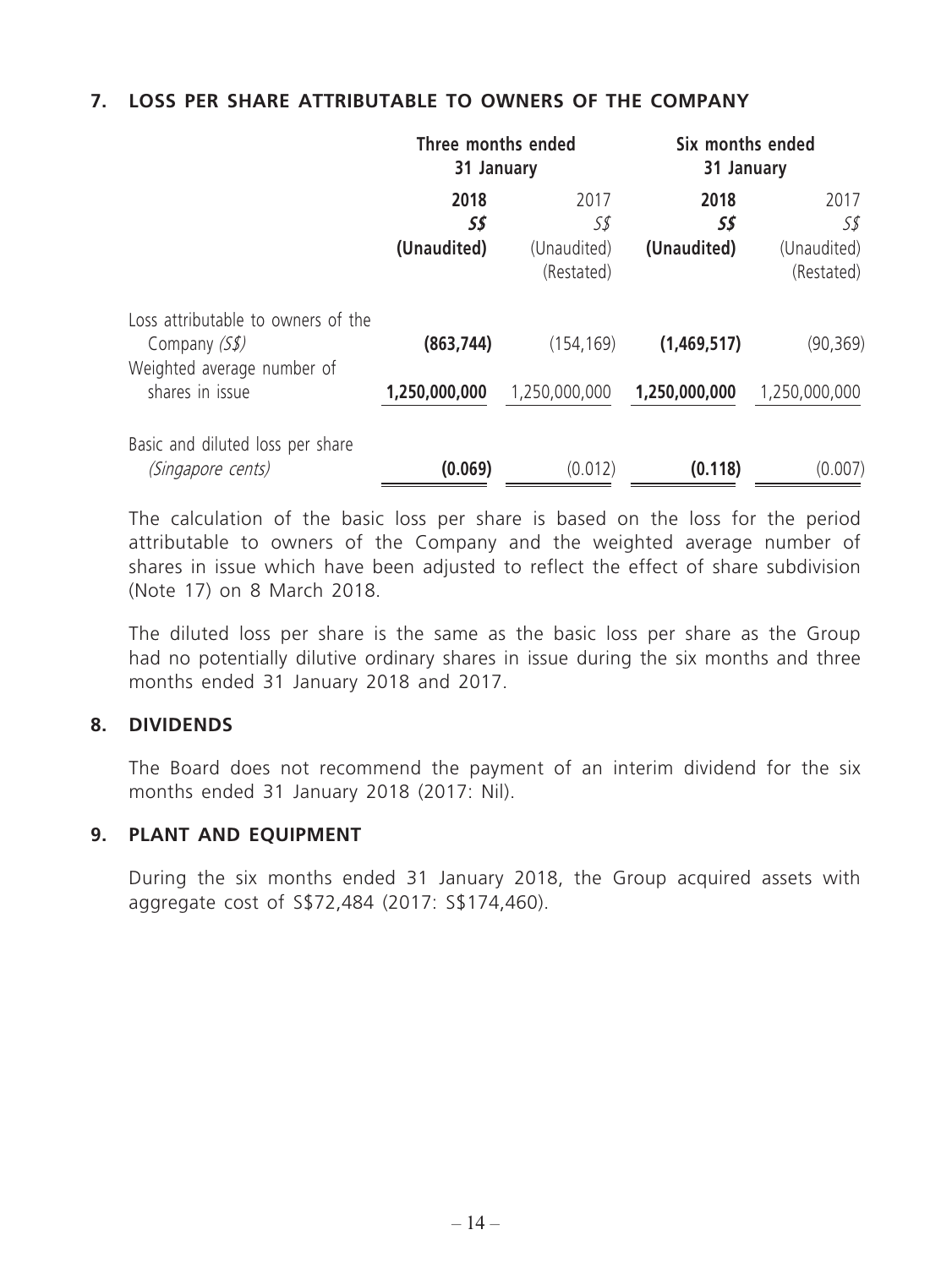#### **7. LOSS PER SHARE ATTRIBUTABLE TO OWNERS OF THE COMPANY**

|                                                              | Three months ended<br>31 January |                                          | Six months ended<br>31 January |                                          |
|--------------------------------------------------------------|----------------------------------|------------------------------------------|--------------------------------|------------------------------------------|
|                                                              | 2018<br>S\$<br>(Unaudited)       | 2017<br>S\$<br>(Unaudited)<br>(Restated) | 2018<br>5\$<br>(Unaudited)     | 2017<br>S\$<br>(Unaudited)<br>(Restated) |
| Loss attributable to owners of the<br>Company $(Ss)$         | (863, 744)                       | (154, 169)                               | (1,469,517)                    | (90, 369)                                |
| Weighted average number of<br>shares in issue                | 1,250,000,000                    | 1,250,000,000                            | 1,250,000,000                  | 1,250,000,000                            |
| Basic and diluted loss per share<br><i>(Singapore cents)</i> | (0.069)                          | (0.012)                                  | (0.118)                        | (0.007)                                  |

The calculation of the basic loss per share is based on the loss for the period attributable to owners of the Company and the weighted average number of shares in issue which have been adjusted to reflect the effect of share subdivision (Note 17) on 8 March 2018.

The diluted loss per share is the same as the basic loss per share as the Group had no potentially dilutive ordinary shares in issue during the six months and three months ended 31 January 2018 and 2017.

#### **8. DIVIDENDS**

The Board does not recommend the payment of an interim dividend for the six months ended 31 January 2018 (2017: Nil).

#### **9. PLANT AND EQUIPMENT**

During the six months ended 31 January 2018, the Group acquired assets with aggregate cost of S\$72,484 (2017: S\$174,460).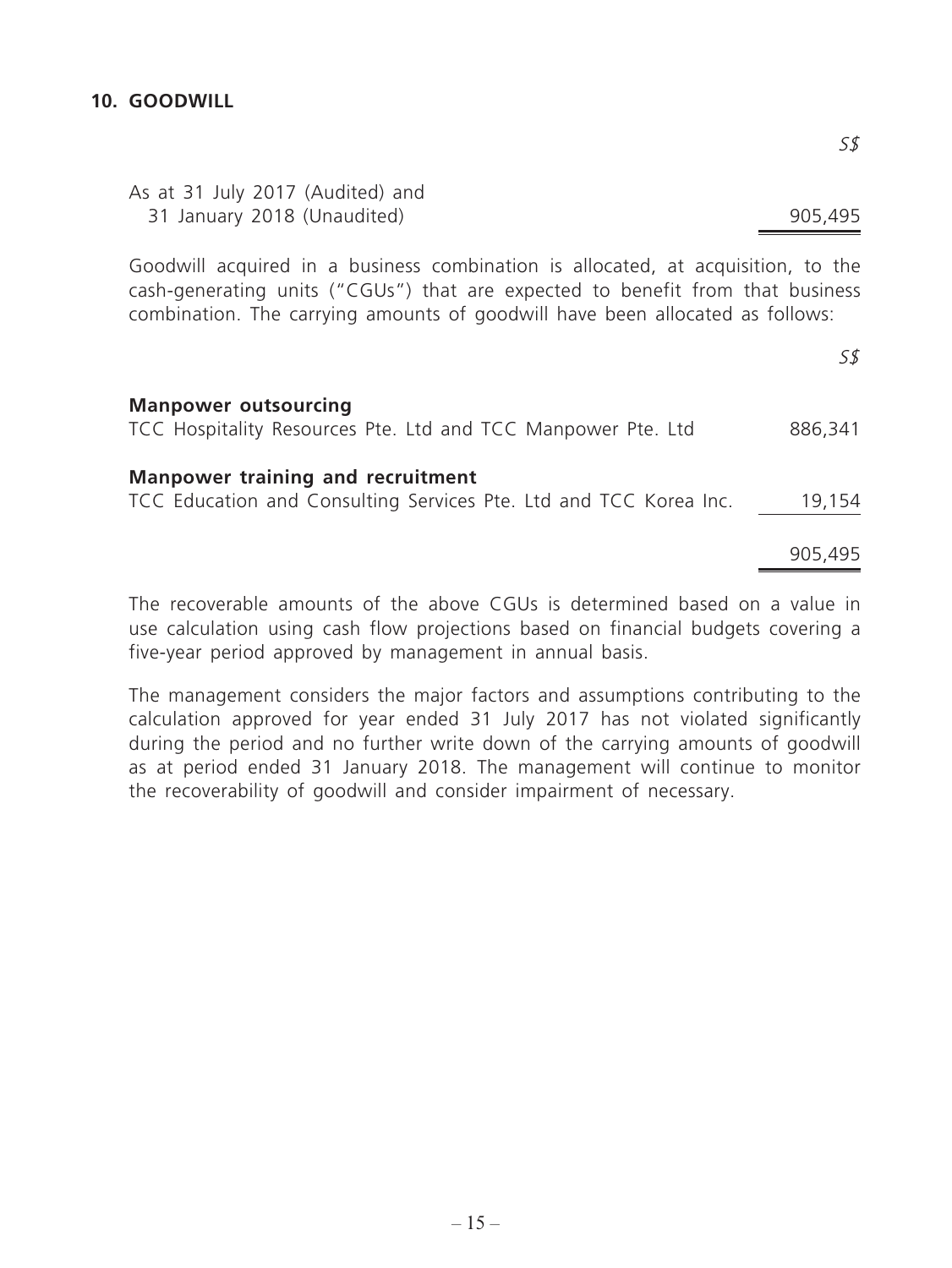#### **10. GOODWILL**

| As at 31 July 2017 (Audited) and |         |
|----------------------------------|---------|
| 31 January 2018 (Unaudited)      | 905,495 |
|                                  |         |

Goodwill acquired in a business combination is allocated, at acquisition, to the cash-generating units ("CGUs") that are expected to benefit from that business combination. The carrying amounts of goodwill have been allocated as follows:

| <b>Manpower outsourcing</b><br>TCC Hospitality Resources Pte. Ltd and TCC Manpower Pte. Ltd                   | 886,341 |
|---------------------------------------------------------------------------------------------------------------|---------|
| <b>Manpower training and recruitment</b><br>TCC Education and Consulting Services Pte. Ltd and TCC Korea Inc. | 19,154  |
|                                                                                                               | 905,495 |

The recoverable amounts of the above CGUs is determined based on a value in use calculation using cash flow projections based on financial budgets covering a five-year period approved by management in annual basis.

The management considers the major factors and assumptions contributing to the calculation approved for year ended 31 July 2017 has not violated significantly during the period and no further write down of the carrying amounts of goodwill as at period ended 31 January 2018. The management will continue to monitor the recoverability of goodwill and consider impairment of necessary.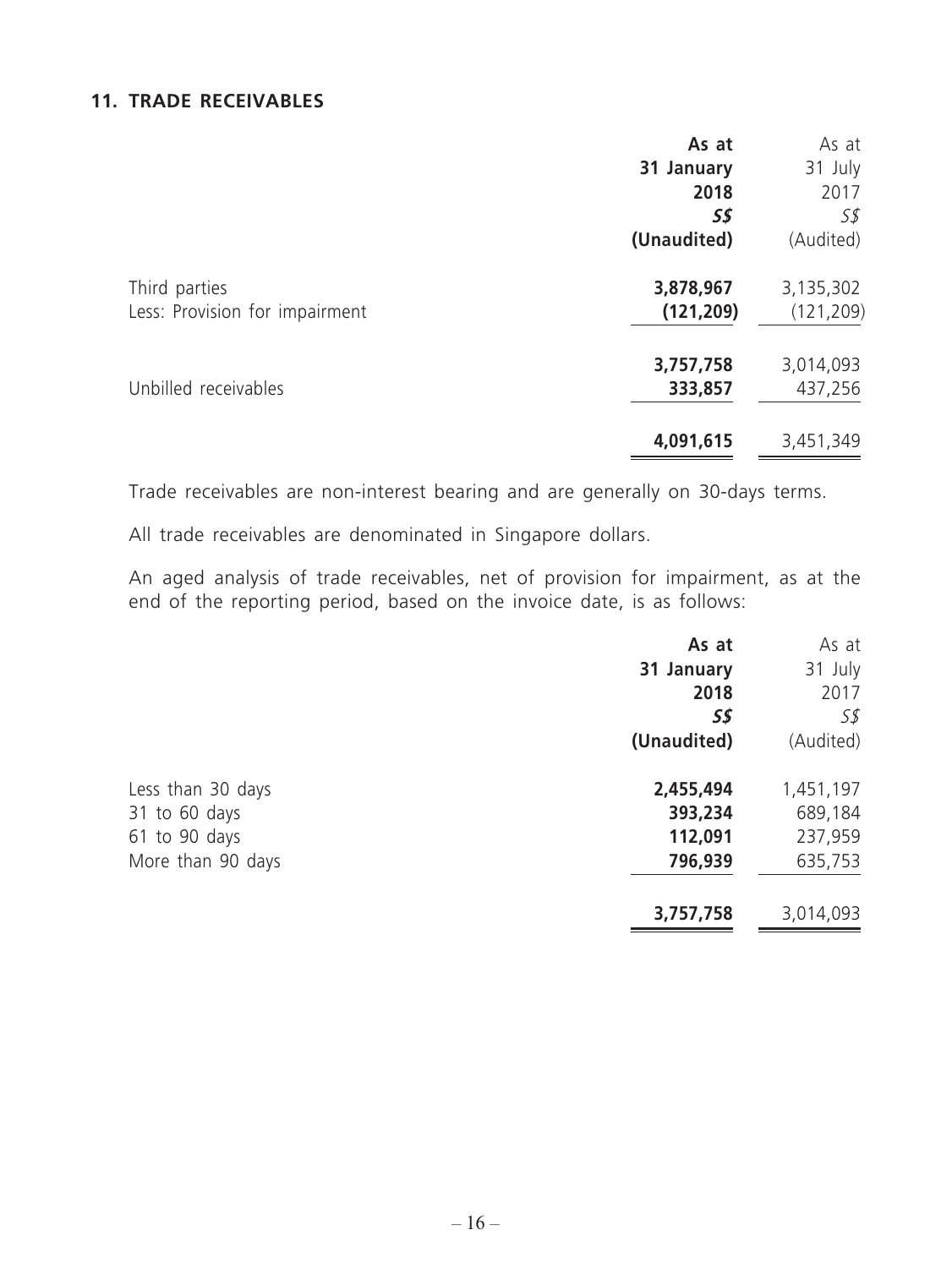#### **11. TRADE RECEIVABLES**

|                                                 | As at<br>31 January<br>2018 | As at<br>31 July<br>2017 |
|-------------------------------------------------|-----------------------------|--------------------------|
|                                                 | 55<br>(Unaudited)           | 5\$<br>(Audited)         |
| Third parties<br>Less: Provision for impairment | 3,878,967<br>(121, 209)     | 3,135,302<br>(121, 209)  |
| Unbilled receivables                            | 3,757,758<br>333,857        | 3,014,093<br>437,256     |
|                                                 | 4,091,615                   | 3,451,349                |

Trade receivables are non-interest bearing and are generally on 30-days terms.

All trade receivables are denominated in Singapore dollars.

An aged analysis of trade receivables, net of provision for impairment, as at the end of the reporting period, based on the invoice date, is as follows:

|                   | As at       | As at     |
|-------------------|-------------|-----------|
|                   | 31 January  | 31 July   |
|                   | 2018        | 2017      |
|                   | 5\$         | 55        |
|                   | (Unaudited) | (Audited) |
| Less than 30 days | 2,455,494   | 1,451,197 |
| 31 to 60 days     | 393,234     | 689,184   |
| 61 to 90 days     | 112,091     | 237,959   |
| More than 90 days | 796,939     | 635,753   |
|                   | 3,757,758   | 3,014,093 |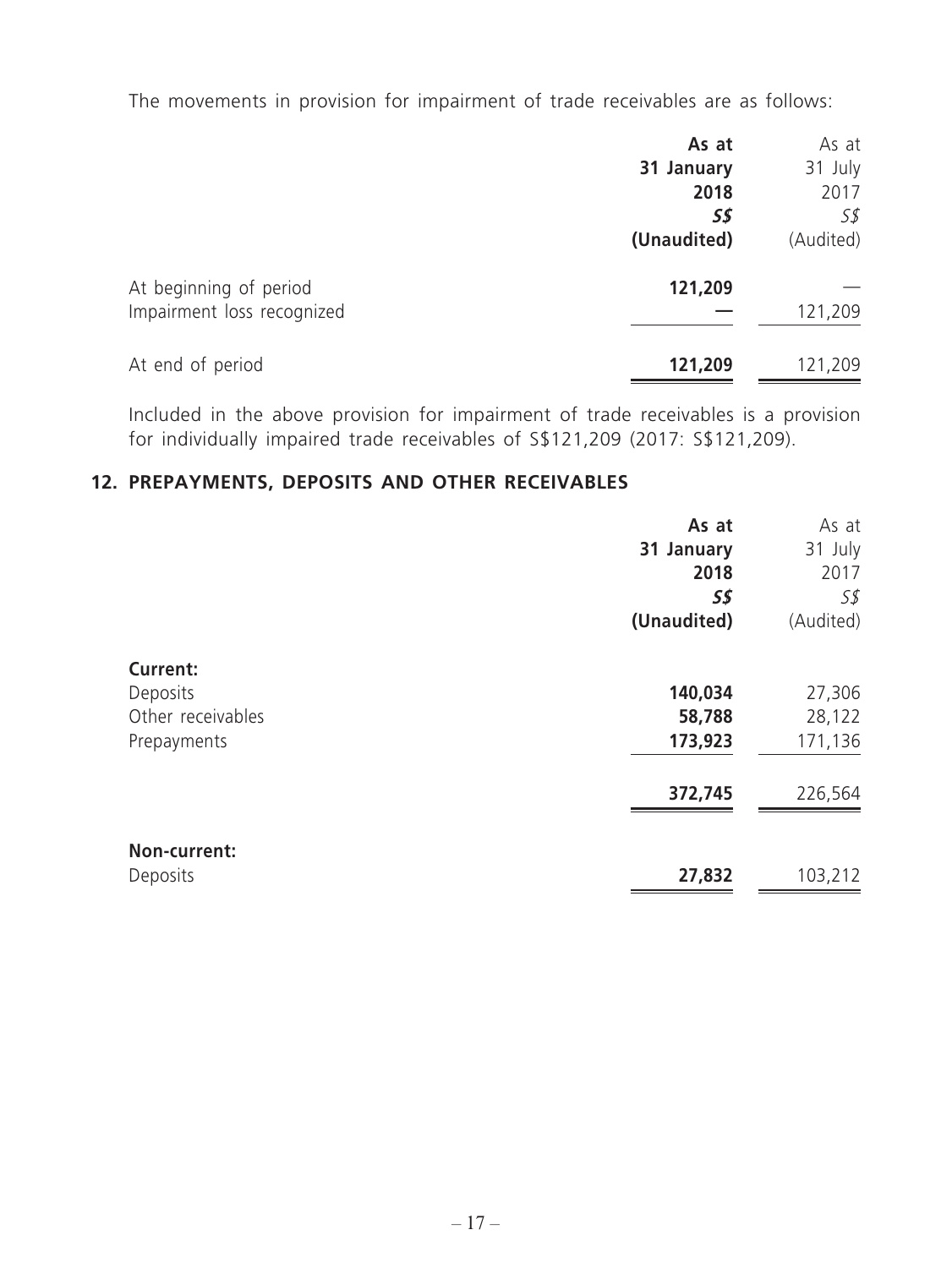The movements in provision for impairment of trade receivables are as follows:

|                            | As at       | As at     |
|----------------------------|-------------|-----------|
|                            | 31 January  | 31 July   |
|                            | 2018        | 2017      |
|                            | S\$         | 5\$       |
|                            | (Unaudited) | (Audited) |
| At beginning of period     | 121,209     |           |
| Impairment loss recognized |             | 121,209   |
| At end of period           | 121,209     | 121,209   |

Included in the above provision for impairment of trade receivables is a provision for individually impaired trade receivables of S\$121,209 (2017: S\$121,209).

## **12. PREPAYMENTS, DEPOSITS AND OTHER RECEIVABLES**

|                                                                 | As at<br>31 January<br>2018  | As at<br>31 July<br>2017    |
|-----------------------------------------------------------------|------------------------------|-----------------------------|
|                                                                 | 5\$<br>(Unaudited)           | 55<br>(Audited)             |
| <b>Current:</b><br>Deposits<br>Other receivables<br>Prepayments | 140,034<br>58,788<br>173,923 | 27,306<br>28,122<br>171,136 |
|                                                                 | 372,745                      | 226,564                     |
| Non-current:<br>Deposits                                        | 27,832                       | 103,212                     |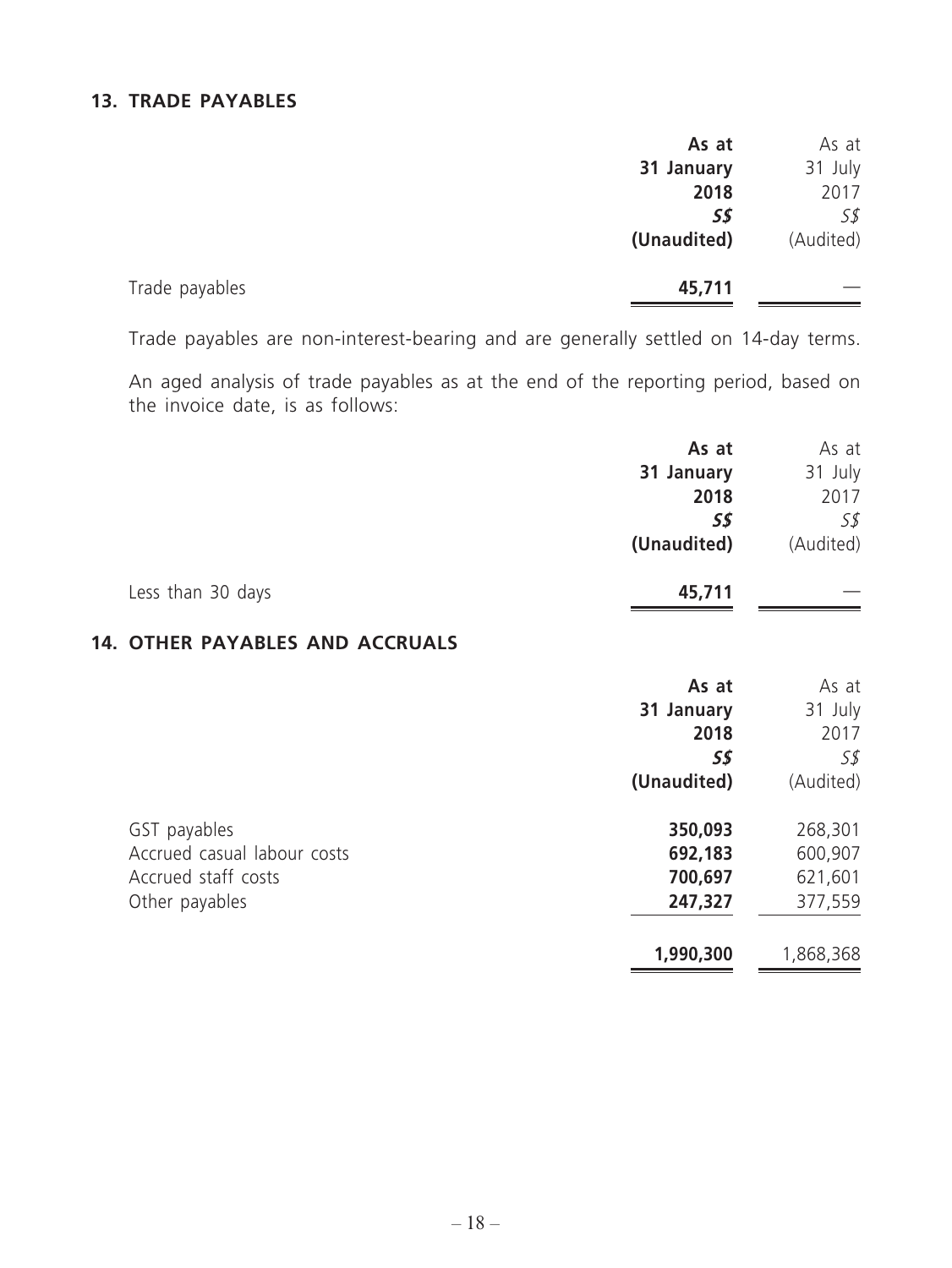#### **13. TRADE PAYABLES**

|                | As at       | As at     |
|----------------|-------------|-----------|
|                | 31 January  | 31 July   |
|                | 2018        | 2017      |
|                | S\$         | S\$       |
|                | (Unaudited) | (Audited) |
| Trade payables | 45,711      |           |

Trade payables are non-interest-bearing and are generally settled on 14-day terms.

An aged analysis of trade payables as at the end of the reporting period, based on the invoice date, is as follows:

|                   | As at       | As at     |
|-------------------|-------------|-----------|
|                   | 31 January  | 31 July   |
|                   | 2018        | 2017      |
|                   | S\$         | S\$       |
|                   | (Unaudited) | (Audited) |
| Less than 30 days | 45,711      |           |

## **14. OTHER PAYABLES AND ACCRUALS**

|                             | As at       | As at     |
|-----------------------------|-------------|-----------|
|                             | 31 January  | 31 July   |
|                             | 2018        | 2017      |
|                             | 5\$         | S\$       |
|                             | (Unaudited) | (Audited) |
| GST payables                | 350,093     | 268,301   |
| Accrued casual labour costs | 692,183     | 600,907   |
| Accrued staff costs         | 700,697     | 621,601   |
| Other payables              | 247,327     | 377,559   |
|                             | 1,990,300   | 1,868,368 |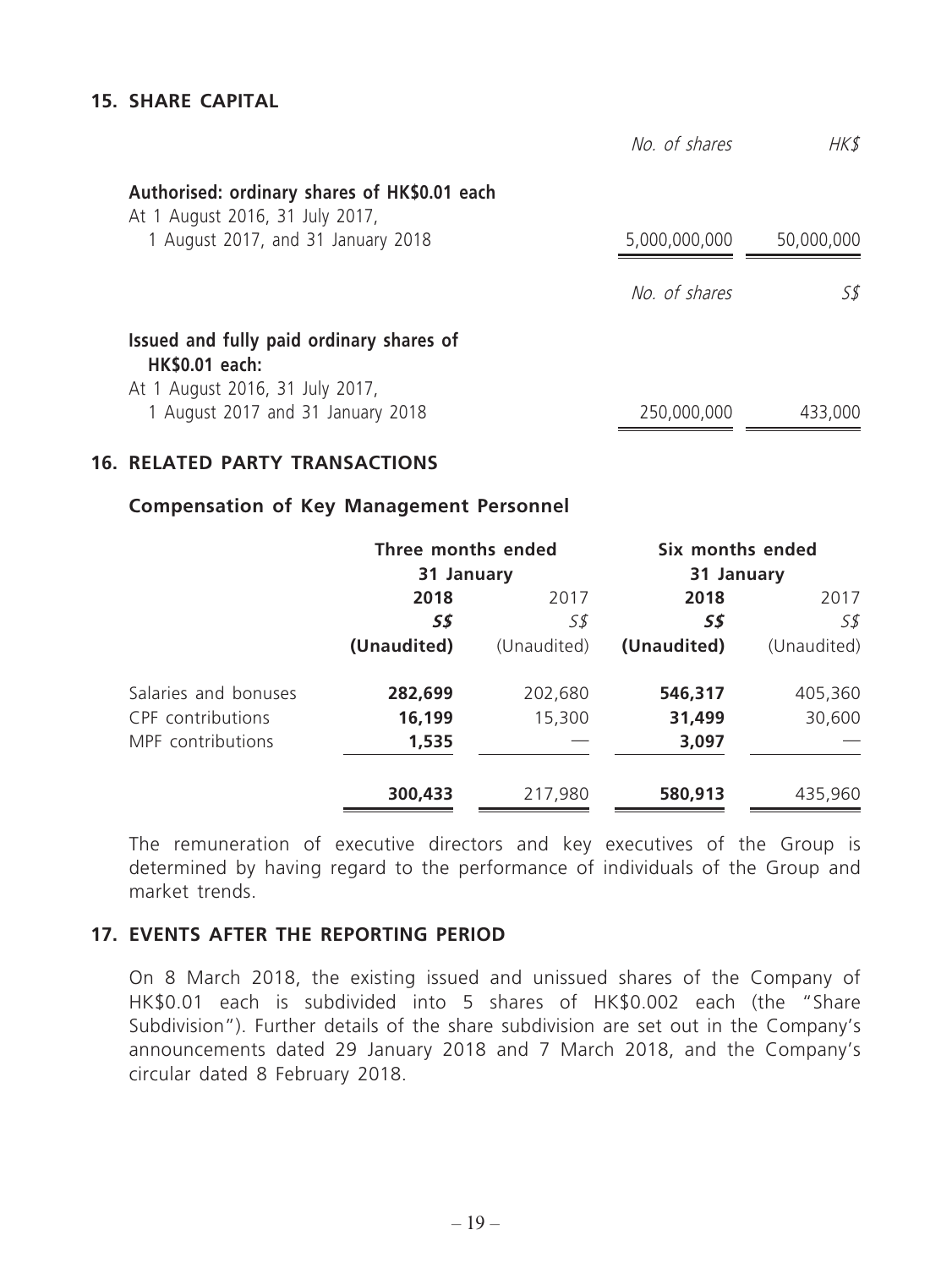#### **15. SHARE CAPITAL**

|                                                                                                      | No. of shares | HK\$       |
|------------------------------------------------------------------------------------------------------|---------------|------------|
| Authorised: ordinary shares of HK\$0.01 each<br>At 1 August 2016, 31 July 2017,                      |               |            |
| 1 August 2017, and 31 January 2018                                                                   | 5,000,000,000 | 50,000,000 |
|                                                                                                      | No. of shares | 58         |
| Issued and fully paid ordinary shares of<br><b>HK\$0.01 each:</b><br>At 1 August 2016, 31 July 2017, |               |            |
| 1 August 2017 and 31 January 2018                                                                    | 250,000,000   | 433,000    |

#### **16. RELATED PARTY TRANSACTIONS**

#### **Compensation of Key Management Personnel**

|                      | Three months ended |             | Six months ended |             |
|----------------------|--------------------|-------------|------------------|-------------|
|                      | 31 January         |             | 31 January       |             |
|                      | 2018               | 2017        | 2018             | 2017        |
|                      | 5\$                | S\$         | 5\$              | S\$         |
|                      | (Unaudited)        | (Unaudited) | (Unaudited)      | (Unaudited) |
| Salaries and bonuses | 282,699            | 202,680     | 546,317          | 405,360     |
| CPF contributions    | 16,199             | 15,300      | 31,499           | 30,600      |
| MPF contributions    | 1,535              |             | 3,097            |             |
|                      | 300,433            | 217,980     | 580,913          | 435,960     |

The remuneration of executive directors and key executives of the Group is determined by having regard to the performance of individuals of the Group and market trends.

#### **17. EVENTS AFTER THE REPORTING PERIOD**

On 8 March 2018, the existing issued and unissued shares of the Company of HK\$0.01 each is subdivided into 5 shares of HK\$0.002 each (the "Share Subdivision"). Further details of the share subdivision are set out in the Company's announcements dated 29 January 2018 and 7 March 2018, and the Company's circular dated 8 February 2018.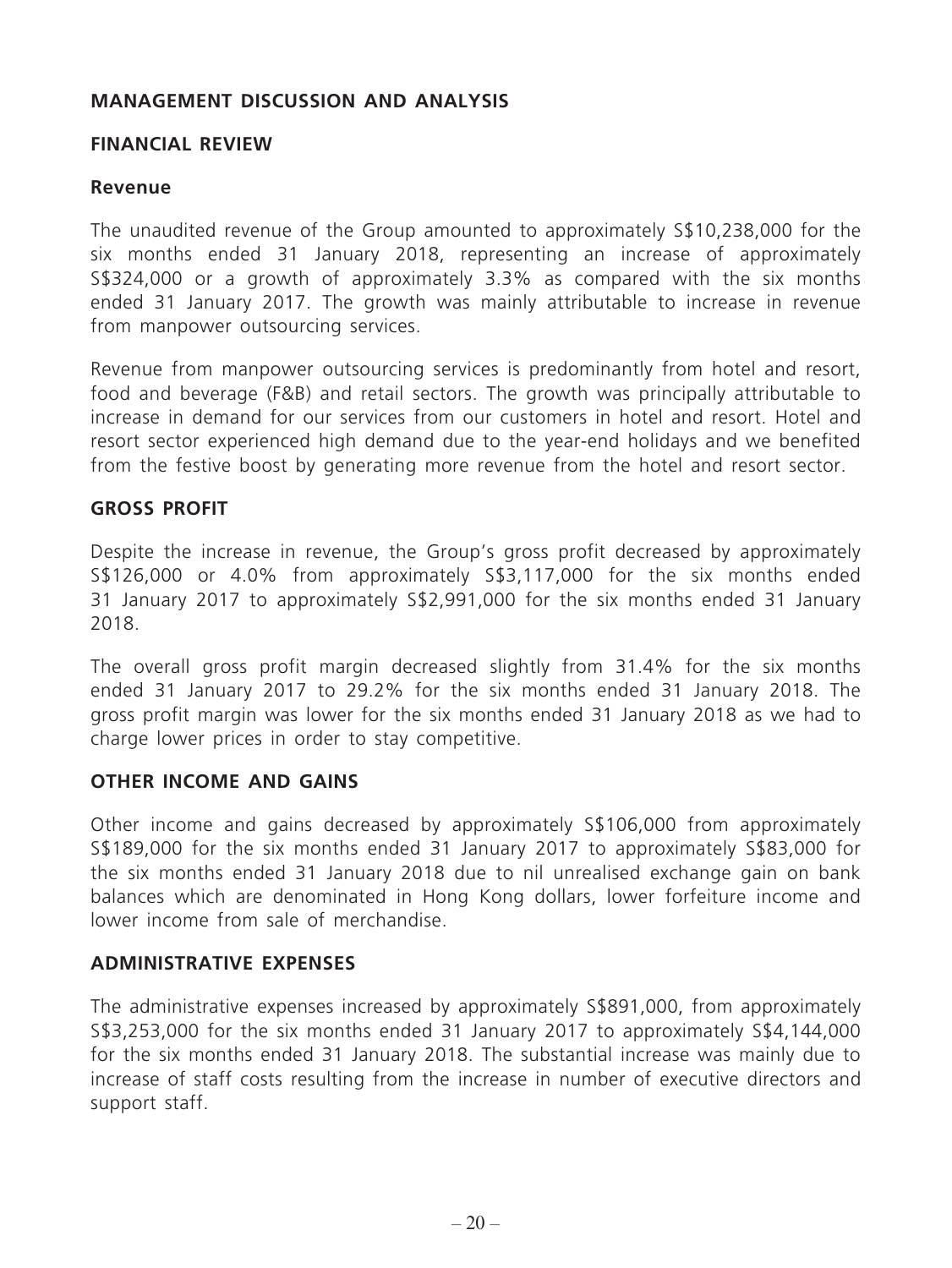#### **MANAGEMENT DISCUSSION AND ANALYSIS**

#### **FINANCIAL REVIEW**

#### **Revenue**

The unaudited revenue of the Group amounted to approximately S\$10,238,000 for the six months ended 31 January 2018, representing an increase of approximately S\$324,000 or a growth of approximately 3.3% as compared with the six months ended 31 January 2017. The growth was mainly attributable to increase in revenue from manpower outsourcing services.

Revenue from manpower outsourcing services is predominantly from hotel and resort, food and beverage (F&B) and retail sectors. The growth was principally attributable to increase in demand for our services from our customers in hotel and resort. Hotel and resort sector experienced high demand due to the year-end holidays and we benefited from the festive boost by generating more revenue from the hotel and resort sector.

#### **GROSS PROFIT**

Despite the increase in revenue, the Group's gross profit decreased by approximately S\$126,000 or 4.0% from approximately S\$3,117,000 for the six months ended 31 January 2017 to approximately S\$2,991,000 for the six months ended 31 January 2018.

The overall gross profit margin decreased slightly from 31.4% for the six months ended 31 January 2017 to 29.2% for the six months ended 31 January 2018. The gross profit margin was lower for the six months ended 31 January 2018 as we had to charge lower prices in order to stay competitive.

#### **OTHER INCOME AND GAINS**

Other income and gains decreased by approximately S\$106,000 from approximately S\$189,000 for the six months ended 31 January 2017 to approximately S\$83,000 for the six months ended 31 January 2018 due to nil unrealised exchange gain on bank balances which are denominated in Hong Kong dollars, lower forfeiture income and lower income from sale of merchandise.

#### **ADMINISTRATIVE EXPENSES**

The administrative expenses increased by approximately S\$891,000, from approximately S\$3,253,000 for the six months ended 31 January 2017 to approximately S\$4,144,000 for the six months ended 31 January 2018. The substantial increase was mainly due to increase of staff costs resulting from the increase in number of executive directors and support staff.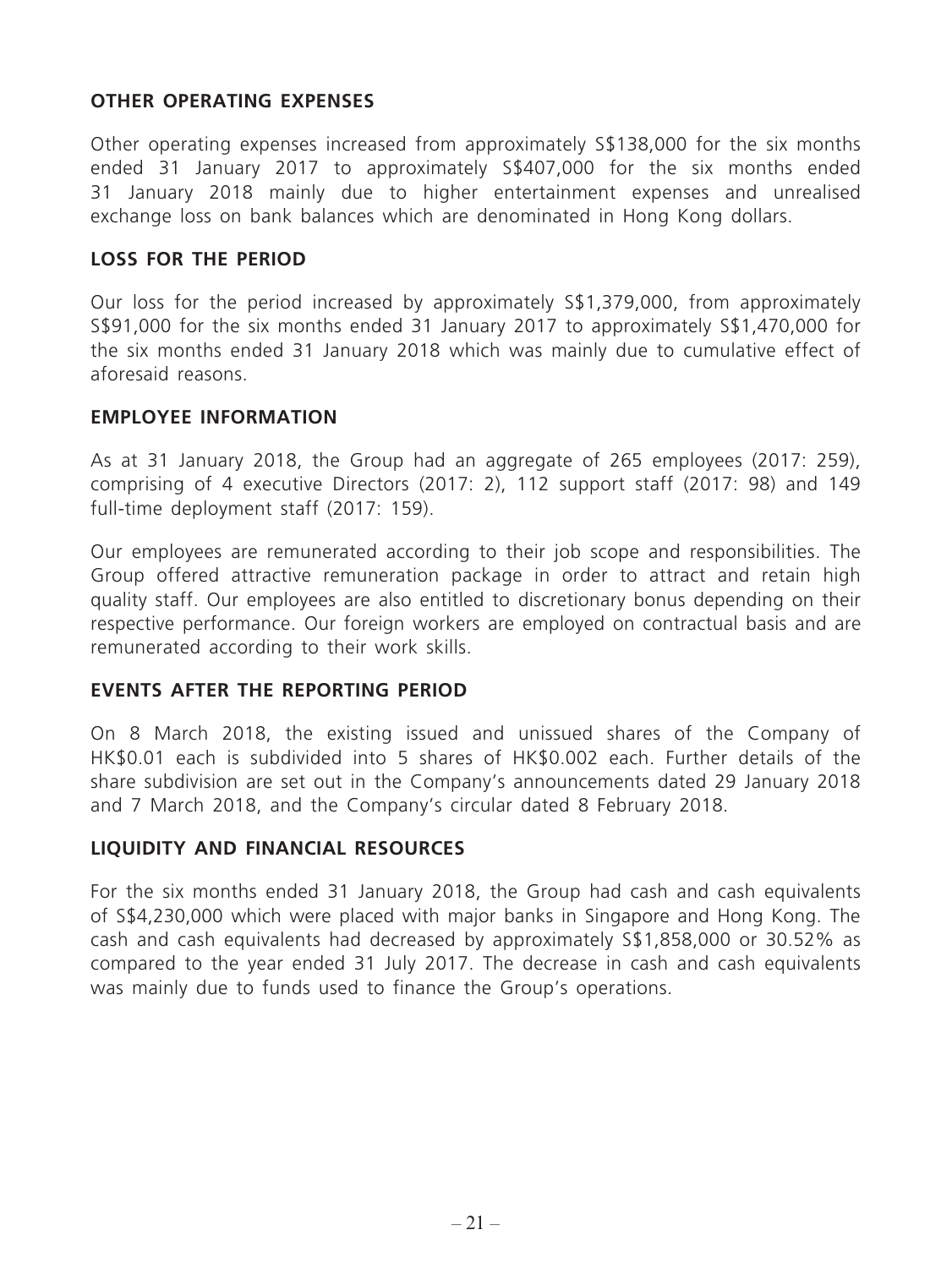#### **OTHER OPERATING EXPENSES**

Other operating expenses increased from approximately S\$138,000 for the six months ended 31 January 2017 to approximately S\$407,000 for the six months ended 31 January 2018 mainly due to higher entertainment expenses and unrealised exchange loss on bank balances which are denominated in Hong Kong dollars.

#### **LOSS FOR THE PERIOD**

Our loss for the period increased by approximately S\$1,379,000, from approximately S\$91,000 for the six months ended 31 January 2017 to approximately S\$1,470,000 for the six months ended 31 January 2018 which was mainly due to cumulative effect of aforesaid reasons.

#### **EMPLOYEE INFORMATION**

As at 31 January 2018, the Group had an aggregate of 265 employees (2017: 259), comprising of 4 executive Directors (2017: 2), 112 support staff (2017: 98) and 149 full-time deployment staff (2017: 159).

Our employees are remunerated according to their job scope and responsibilities. The Group offered attractive remuneration package in order to attract and retain high quality staff. Our employees are also entitled to discretionary bonus depending on their respective performance. Our foreign workers are employed on contractual basis and are remunerated according to their work skills.

#### **EVENTS AFTER THE REPORTING PERIOD**

On 8 March 2018, the existing issued and unissued shares of the Company of HK\$0.01 each is subdivided into 5 shares of HK\$0.002 each. Further details of the share subdivision are set out in the Company's announcements dated 29 January 2018 and 7 March 2018, and the Company's circular dated 8 February 2018.

#### **LIQUIDITY AND FINANCIAL RESOURCES**

For the six months ended 31 January 2018, the Group had cash and cash equivalents of S\$4,230,000 which were placed with major banks in Singapore and Hong Kong. The cash and cash equivalents had decreased by approximately S\$1,858,000 or 30.52% as compared to the year ended 31 July 2017. The decrease in cash and cash equivalents was mainly due to funds used to finance the Group's operations.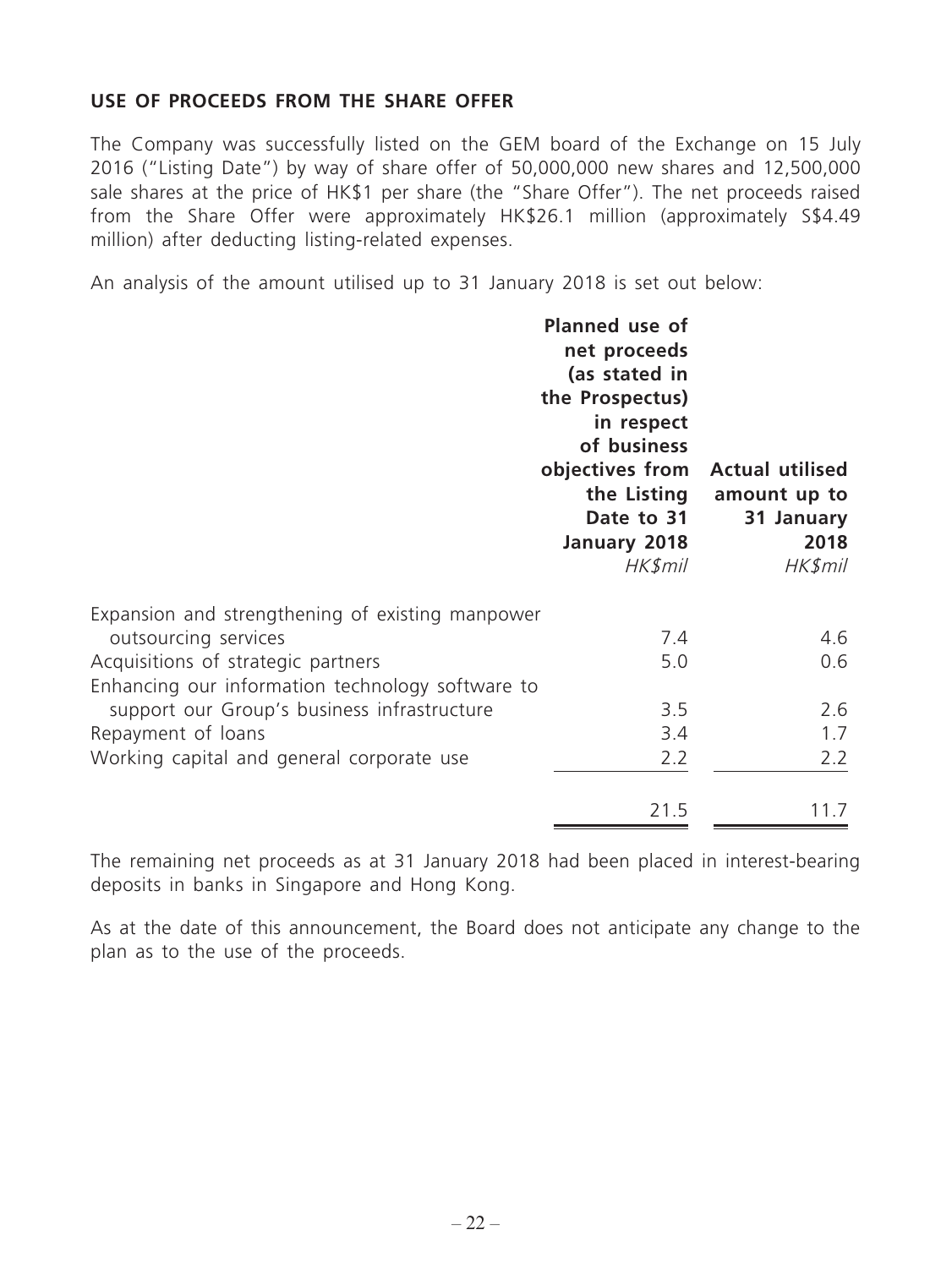## **USE OF PROCEEDS FROM THE SHARE OFFER**

The Company was successfully listed on the GEM board of the Exchange on 15 July 2016 ("Listing Date") by way of share offer of 50,000,000 new shares and 12,500,000 sale shares at the price of HK\$1 per share (the "Share Offer"). The net proceeds raised from the Share Offer were approximately HK\$26.1 million (approximately S\$4.49 million) after deducting listing-related expenses.

An analysis of the amount utilised up to 31 January 2018 is set out below:

|                                                  | Planned use of<br>net proceeds<br>(as stated in<br>the Prospectus)<br>in respect<br>of business<br>objectives from<br>the Listing<br>Date to 31<br>January 2018<br>HK\$mil | <b>Actual utilised</b><br>amount up to<br>31 January<br>2018<br>HK\$mil |
|--------------------------------------------------|----------------------------------------------------------------------------------------------------------------------------------------------------------------------------|-------------------------------------------------------------------------|
| Expansion and strengthening of existing manpower |                                                                                                                                                                            |                                                                         |
| outsourcing services                             | 7.4                                                                                                                                                                        | 4.6                                                                     |
| Acquisitions of strategic partners               | 5.0                                                                                                                                                                        | 0.6                                                                     |
| Enhancing our information technology software to |                                                                                                                                                                            |                                                                         |
| support our Group's business infrastructure      | 3.5                                                                                                                                                                        | 2.6                                                                     |
| Repayment of loans                               | 3.4                                                                                                                                                                        | 1.7                                                                     |
| Working capital and general corporate use        | 2.2                                                                                                                                                                        | 2.2                                                                     |
|                                                  | 21.5                                                                                                                                                                       | 11.7                                                                    |

The remaining net proceeds as at 31 January 2018 had been placed in interest-bearing deposits in banks in Singapore and Hong Kong.

As at the date of this announcement, the Board does not anticipate any change to the plan as to the use of the proceeds.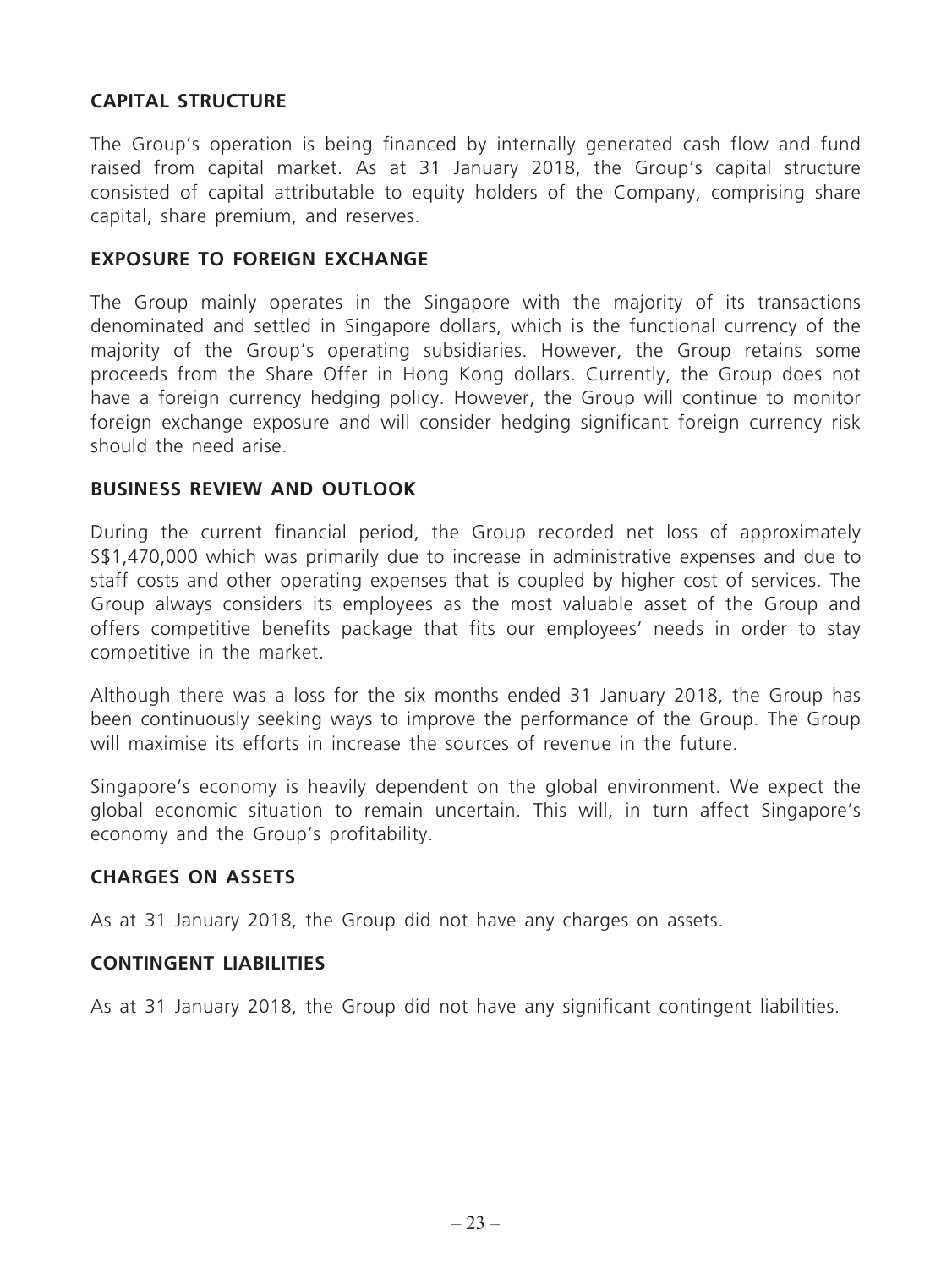## **CAPITAL STRUCTURE**

The Group's operation is being financed by internally generated cash flow and fund raised from capital market. As at 31 January 2018, the Group's capital structure consisted of capital attributable to equity holders of the Company, comprising share capital, share premium, and reserves.

### **EXPOSURE TO FOREIGN EXCHANGE**

The Group mainly operates in the Singapore with the majority of its transactions denominated and settled in Singapore dollars, which is the functional currency of the majority of the Group's operating subsidiaries. However, the Group retains some proceeds from the Share Offer in Hong Kong dollars. Currently, the Group does not have a foreign currency hedging policy. However, the Group will continue to monitor foreign exchange exposure and will consider hedging significant foreign currency risk should the need arise.

#### **BUSINESS REVIEW AND OUTLOOK**

During the current financial period, the Group recorded net loss of approximately S\$1,470,000 which was primarily due to increase in administrative expenses and due to staff costs and other operating expenses that is coupled by higher cost of services. The Group always considers its employees as the most valuable asset of the Group and offers competitive benefits package that fits our employees' needs in order to stay competitive in the market.

Although there was a loss for the six months ended 31 January 2018, the Group has been continuously seeking ways to improve the performance of the Group. The Group will maximise its efforts in increase the sources of revenue in the future.

Singapore's economy is heavily dependent on the global environment. We expect the global economic situation to remain uncertain. This will, in turn affect Singapore's economy and the Group's profitability.

#### **CHARGES ON ASSETS**

As at 31 January 2018, the Group did not have any charges on assets.

#### **CONTINGENT LIABILITIES**

As at 31 January 2018, the Group did not have any significant contingent liabilities.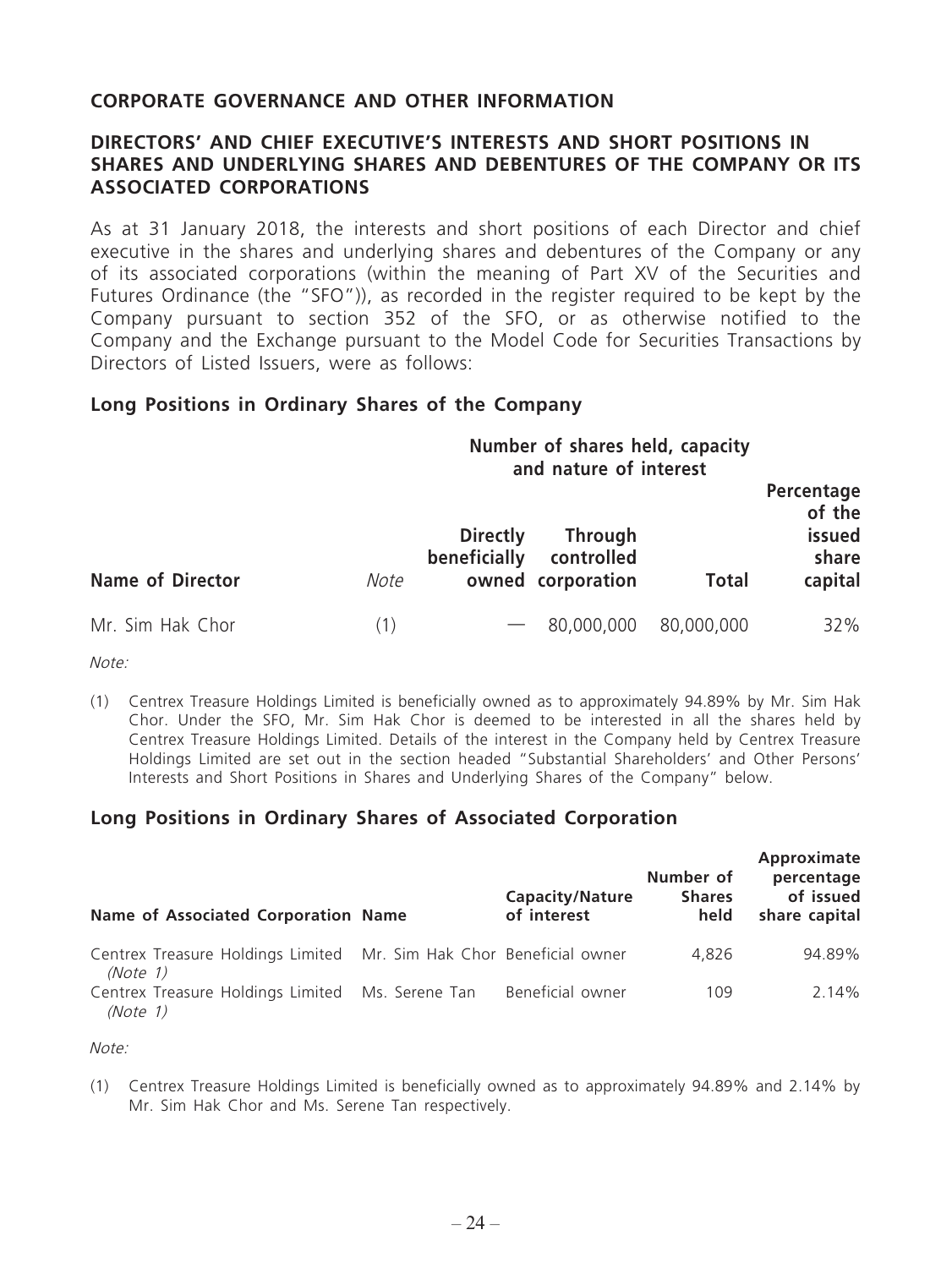#### **CORPORATE GOVERNANCE AND OTHER INFORMATION**

#### **DIRECTORS' AND CHIEF EXECUTIVE'S INTERESTS AND SHORT POSITIONS IN SHARES AND UNDERLYING SHARES AND DEBENTURES OF THE COMPANY OR ITS ASSOCIATED CORPORATIONS**

As at 31 January 2018, the interests and short positions of each Director and chief executive in the shares and underlying shares and debentures of the Company or any of its associated corporations (within the meaning of Part XV of the Securities and Futures Ordinance (the "SFO")), as recorded in the register required to be kept by the Company pursuant to section 352 of the SFO, or as otherwise notified to the Company and the Exchange pursuant to the Model Code for Securities Transactions by Directors of Listed Issuers, were as follows:

#### **Long Positions in Ordinary Shares of the Company**

| Number of shares held, capacity |  |                        |  |
|---------------------------------|--|------------------------|--|
|                                 |  | and nature of interest |  |

| <b>Name of Director</b> | Note | <b>Directly</b><br>beneficially | <b>Through</b><br>controlled<br>owned corporation | <b>Total</b> | Percentage<br>of the<br>issued<br>share<br>capital |
|-------------------------|------|---------------------------------|---------------------------------------------------|--------------|----------------------------------------------------|
| Mr. Sim Hak Chor        | (1)  |                                 | $-80,000,000$                                     | 80,000,000   | 32%                                                |

Note:

(1) Centrex Treasure Holdings Limited is beneficially owned as to approximately 94.89% by Mr. Sim Hak Chor. Under the SFO, Mr. Sim Hak Chor is deemed to be interested in all the shares held by Centrex Treasure Holdings Limited. Details of the interest in the Company held by Centrex Treasure Holdings Limited are set out in the section headed "Substantial Shareholders' and Other Persons' Interests and Short Positions in Shares and Underlying Shares of the Company" below.

## **Long Positions in Ordinary Shares of Associated Corporation**

| Name of Associated Corporation Name                                             | <b>Capacity/Nature</b><br>of interest | Number of<br><b>Shares</b><br>held | Approximate<br>percentage<br>of issued<br>share capital |
|---------------------------------------------------------------------------------|---------------------------------------|------------------------------------|---------------------------------------------------------|
| Centrex Treasure Holdings Limited Mr. Sim Hak Chor Beneficial owner<br>(Note 1) |                                       | 4.826                              | 94.89%                                                  |
| Centrex Treasure Holdings Limited Ms. Serene Tan<br>(Note 1)                    | Beneficial owner                      | 109                                | $2.14\%$                                                |

Note:

(1) Centrex Treasure Holdings Limited is beneficially owned as to approximately 94.89% and 2.14% by Mr. Sim Hak Chor and Ms. Serene Tan respectively.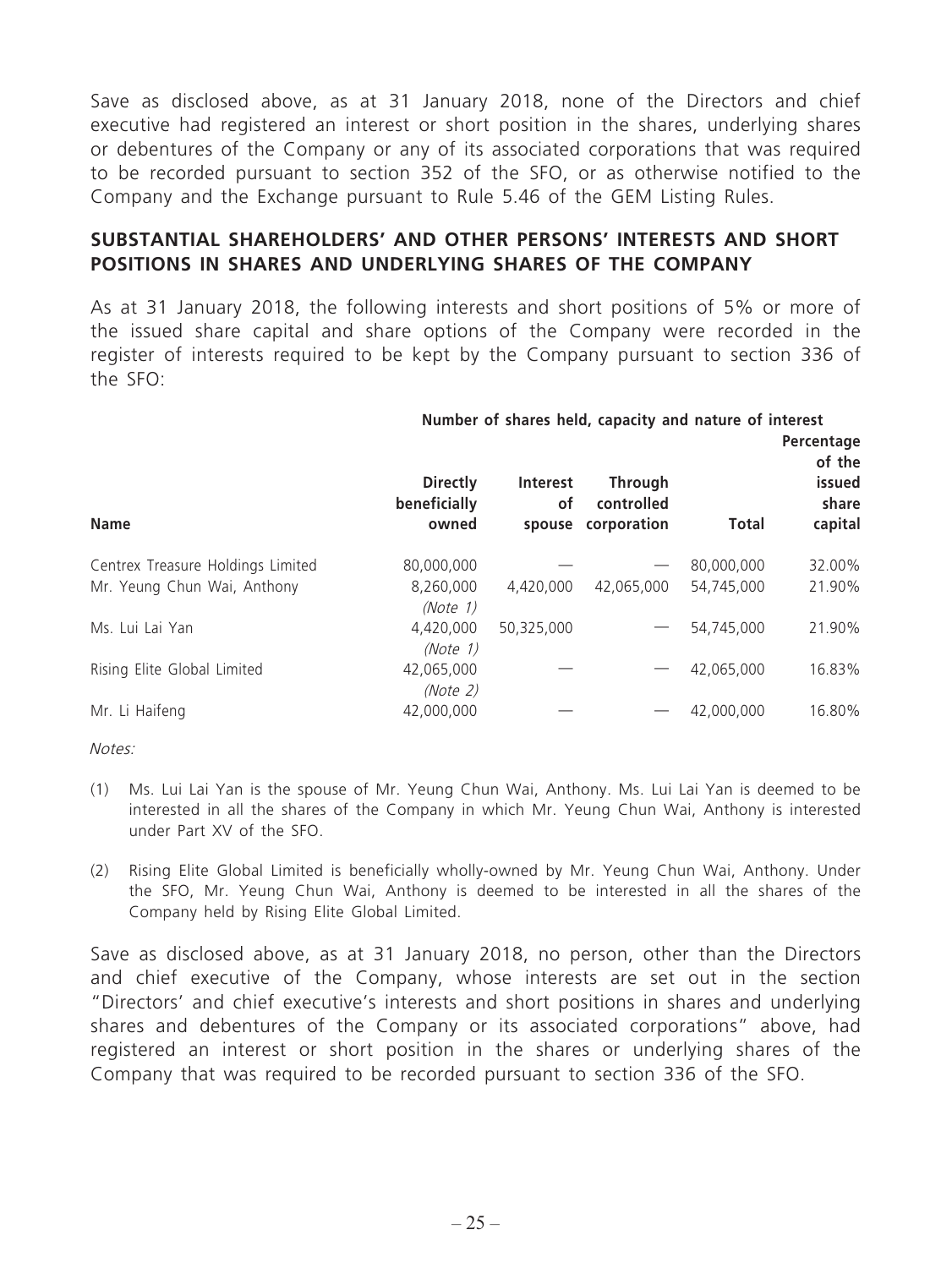Save as disclosed above, as at 31 January 2018, none of the Directors and chief executive had registered an interest or short position in the shares, underlying shares or debentures of the Company or any of its associated corporations that was required to be recorded pursuant to section 352 of the SFO, or as otherwise notified to the Company and the Exchange pursuant to Rule 5.46 of the GEM Listing Rules.

#### **SUBSTANTIAL SHAREHOLDERS' AND OTHER PERSONS' INTERESTS AND SHORT POSITIONS IN SHARES AND UNDERLYING SHARES OF THE COMPANY**

As at 31 January 2018, the following interests and short positions of 5% or more of the issued share capital and share options of the Company were recorded in the register of interests required to be kept by the Company pursuant to section 336 of the SFO:

|                                   | Number of shares held, capacity and nature of interest |              |                           |              |                                |  |
|-----------------------------------|--------------------------------------------------------|--------------|---------------------------|--------------|--------------------------------|--|
|                                   | <b>Directly</b>                                        | Interest     | <b>Through</b>            |              | Percentage<br>of the<br>issued |  |
| <b>Name</b>                       | beneficially<br>owned                                  | οf<br>spouse | controlled<br>corporation | <b>Total</b> | share<br>capital               |  |
| Centrex Treasure Holdings Limited | 80,000,000                                             |              |                           | 80,000,000   | 32.00%                         |  |
| Mr. Yeung Chun Wai, Anthony       | 8,260,000<br>(Note 1)                                  | 4,420,000    | 42,065,000                | 54,745,000   | 21.90%                         |  |
| Ms. Lui Lai Yan                   | 4,420,000<br>(Note 1)                                  | 50,325,000   |                           | 54,745,000   | 21.90%                         |  |
| Rising Elite Global Limited       | 42,065,000<br>(Note 2)                                 |              |                           | 42,065,000   | 16.83%                         |  |
| Mr. Li Haifeng                    | 42,000,000                                             |              |                           | 42,000,000   | 16.80%                         |  |

Notes:

- (1) Ms. Lui Lai Yan is the spouse of Mr. Yeung Chun Wai, Anthony. Ms. Lui Lai Yan is deemed to be interested in all the shares of the Company in which Mr. Yeung Chun Wai, Anthony is interested under Part XV of the SFO.
- (2) Rising Elite Global Limited is beneficially wholly-owned by Mr. Yeung Chun Wai, Anthony. Under the SFO, Mr. Yeung Chun Wai, Anthony is deemed to be interested in all the shares of the Company held by Rising Elite Global Limited.

Save as disclosed above, as at 31 January 2018, no person, other than the Directors and chief executive of the Company, whose interests are set out in the section "Directors' and chief executive's interests and short positions in shares and underlying shares and debentures of the Company or its associated corporations" above, had registered an interest or short position in the shares or underlying shares of the Company that was required to be recorded pursuant to section 336 of the SFO.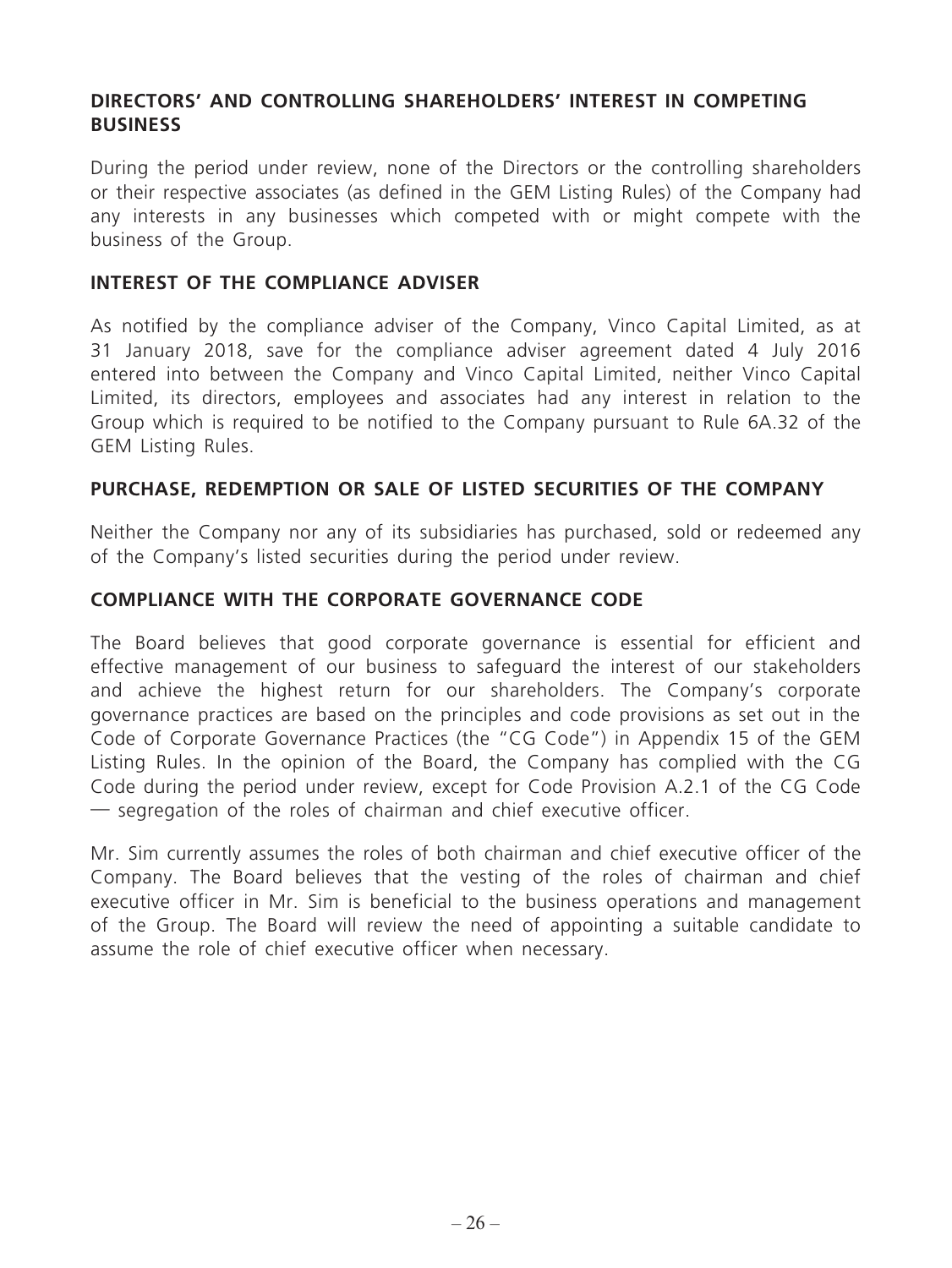## **DIRECTORS' AND CONTROLLING SHAREHOLDERS' INTEREST IN COMPETING BUSINESS**

During the period under review, none of the Directors or the controlling shareholders or their respective associates (as defined in the GEM Listing Rules) of the Company had any interests in any businesses which competed with or might compete with the business of the Group.

#### **INTEREST OF THE COMPLIANCE ADVISER**

As notified by the compliance adviser of the Company, Vinco Capital Limited, as at 31 January 2018, save for the compliance adviser agreement dated 4 July 2016 entered into between the Company and Vinco Capital Limited, neither Vinco Capital Limited, its directors, employees and associates had any interest in relation to the Group which is required to be notified to the Company pursuant to Rule 6A.32 of the GEM Listing Rules.

#### **PURCHASE, REDEMPTION OR SALE OF LISTED SECURITIES OF THE COMPANY**

Neither the Company nor any of its subsidiaries has purchased, sold or redeemed any of the Company's listed securities during the period under review.

#### **COMPLIANCE WITH THE CORPORATE GOVERNANCE CODE**

The Board believes that good corporate governance is essential for efficient and effective management of our business to safeguard the interest of our stakeholders and achieve the highest return for our shareholders. The Company's corporate governance practices are based on the principles and code provisions as set out in the Code of Corporate Governance Practices (the "CG Code") in Appendix 15 of the GEM Listing Rules. In the opinion of the Board, the Company has complied with the CG Code during the period under review, except for Code Provision A.2.1 of the CG Code — segregation of the roles of chairman and chief executive officer.

Mr. Sim currently assumes the roles of both chairman and chief executive officer of the Company. The Board believes that the vesting of the roles of chairman and chief executive officer in Mr. Sim is beneficial to the business operations and management of the Group. The Board will review the need of appointing a suitable candidate to assume the role of chief executive officer when necessary.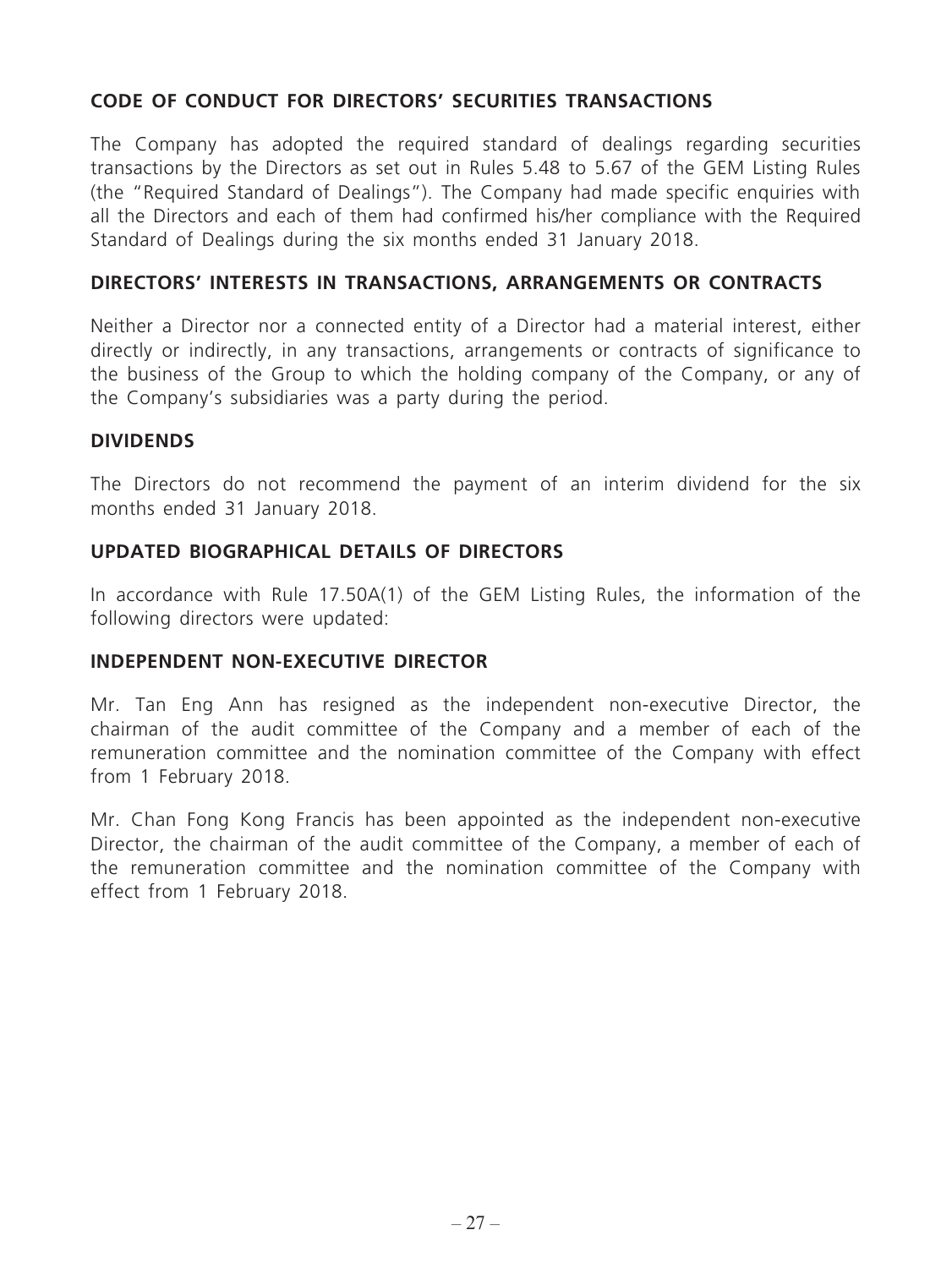## **CODE OF CONDUCT FOR DIRECTORS' SECURITIES TRANSACTIONS**

The Company has adopted the required standard of dealings regarding securities transactions by the Directors as set out in Rules 5.48 to 5.67 of the GEM Listing Rules (the "Required Standard of Dealings"). The Company had made specific enquiries with all the Directors and each of them had confirmed his/her compliance with the Required Standard of Dealings during the six months ended 31 January 2018.

#### **DIRECTORS' INTERESTS IN TRANSACTIONS, ARRANGEMENTS OR CONTRACTS**

Neither a Director nor a connected entity of a Director had a material interest, either directly or indirectly, in any transactions, arrangements or contracts of significance to the business of the Group to which the holding company of the Company, or any of the Company's subsidiaries was a party during the period.

#### **DIVIDENDS**

The Directors do not recommend the payment of an interim dividend for the six months ended 31 January 2018.

#### **UPDATED BIOGRAPHICAL DETAILS OF DIRECTORS**

In accordance with Rule 17.50A(1) of the GEM Listing Rules, the information of the following directors were updated:

#### **INDEPENDENT NON-EXECUTIVE DIRECTOR**

Mr. Tan Eng Ann has resigned as the independent non-executive Director, the chairman of the audit committee of the Company and a member of each of the remuneration committee and the nomination committee of the Company with effect from 1 February 2018.

Mr. Chan Fong Kong Francis has been appointed as the independent non-executive Director, the chairman of the audit committee of the Company, a member of each of the remuneration committee and the nomination committee of the Company with effect from 1 February 2018.